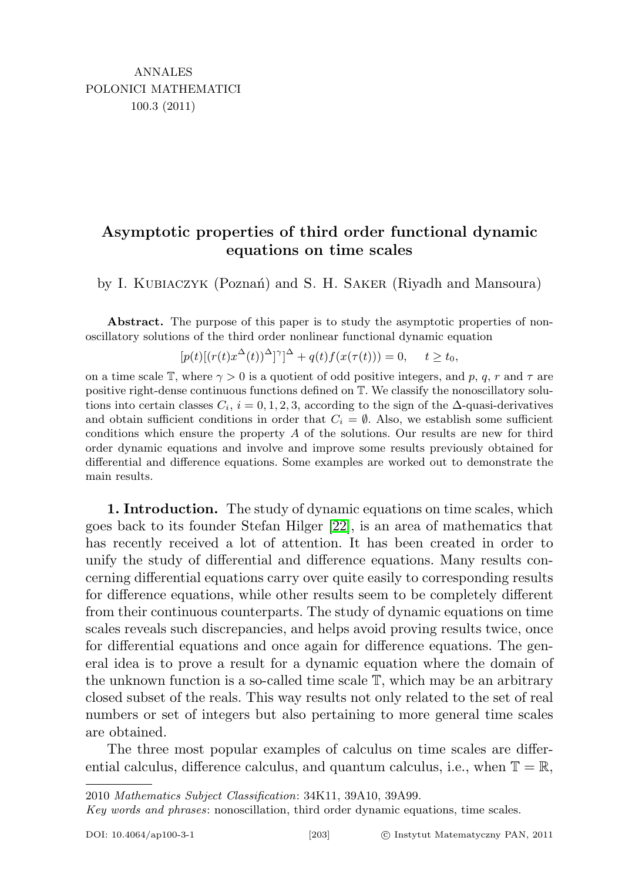## Asymptotic properties of third order functional dynamic equations on time scales

by I. KUBIACZYK (Poznań) and S. H. SAKER (Riyadh and Mansoura)

Abstract. The purpose of this paper is to study the asymptotic properties of nonoscillatory solutions of the third order nonlinear functional dynamic equation

$$
[p(t)[(r(t)x^{\Delta}(t))^{\Delta}]^{\gamma}]^{\Delta} + q(t)f(x(\tau(t))) = 0, \quad t \ge t_0,
$$

on a time scale T, where  $\gamma > 0$  is a quotient of odd positive integers, and p, q, r and  $\tau$  are positive right-dense continuous functions defined on T. We classify the nonoscillatory solutions into certain classes  $C_i$ ,  $i = 0, 1, 2, 3$ , according to the sign of the  $\Delta$ -quasi-derivatives and obtain sufficient conditions in order that  $C_i = \emptyset$ . Also, we establish some sufficient conditions which ensure the property A of the solutions. Our results are new for third order dynamic equations and involve and improve some results previously obtained for differential and difference equations. Some examples are worked out to demonstrate the main results.

1. Introduction. The study of dynamic equations on time scales, which goes back to its founder Stefan Hilger [\[22\]](#page-18-0), is an area of mathematics that has recently received a lot of attention. It has been created in order to unify the study of differential and difference equations. Many results concerning differential equations carry over quite easily to corresponding results for difference equations, while other results seem to be completely different from their continuous counterparts. The study of dynamic equations on time scales reveals such discrepancies, and helps avoid proving results twice, once for differential equations and once again for difference equations. The general idea is to prove a result for a dynamic equation where the domain of the unknown function is a so-called time scale T, which may be an arbitrary closed subset of the reals. This way results not only related to the set of real numbers or set of integers but also pertaining to more general time scales are obtained.

The three most popular examples of calculus on time scales are differential calculus, difference calculus, and quantum calculus, i.e., when  $\mathbb{T} = \mathbb{R}$ ,

<sup>2010</sup> Mathematics Subject Classification: 34K11, 39A10, 39A99.

Key words and phrases: nonoscillation, third order dynamic equations, time scales.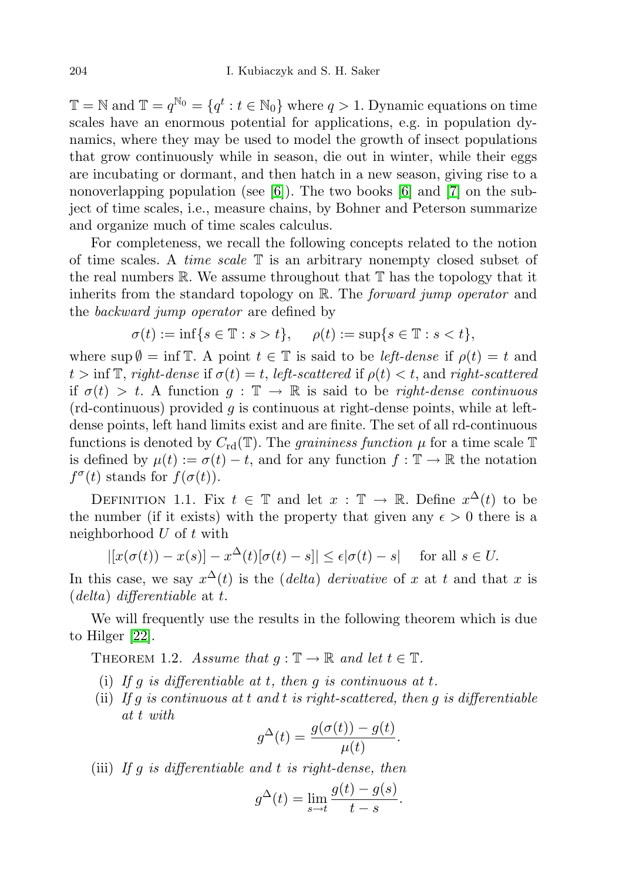$\mathbb{T} = \mathbb{N}$  and  $\mathbb{T} = q^{\mathbb{N}_0} = \{q^t : t \in \mathbb{N}_0\}$  where  $q > 1$ . Dynamic equations on time scales have an enormous potential for applications, e.g. in population dynamics, where they may be used to model the growth of insect populations that grow continuously while in season, die out in winter, while their eggs are incubating or dormant, and then hatch in a new season, giving rise to a nonoverlapping population (see  $[6]$ ). The two books  $[6]$  and  $[7]$  on the subject of time scales, i.e., measure chains, by Bohner and Peterson summarize and organize much of time scales calculus.

For completeness, we recall the following concepts related to the notion of time scales. A *time scale*  $\mathbb T$  is an arbitrary nonempty closed subset of the real numbers  $\mathbb R$ . We assume throughout that  $\mathbb T$  has the topology that it inherits from the standard topology on R. The *forward jump operator* and the backward jump operator are defined by

$$
\sigma(t) := \inf\{s \in \mathbb{T} : s > t\}, \quad \rho(t) := \sup\{s \in \mathbb{T} : s < t\},\
$$

where  $\sup \emptyset = \inf \mathbb{T}$ . A point  $t \in \mathbb{T}$  is said to be left-dense if  $\rho(t) = t$  and  $t > \inf \mathbb{T}$ , right-dense if  $\sigma(t) = t$ , left-scattered if  $\rho(t) < t$ , and right-scattered if  $\sigma(t) > t$ . A function  $g : \mathbb{T} \to \mathbb{R}$  is said to be right-dense continuous  $(rd$ -continuous) provided g is continuous at right-dense points, while at leftdense points, left hand limits exist and are finite. The set of all rd-continuous functions is denoted by  $C_{\rm rd}(\mathbb{T})$ . The *graininess function*  $\mu$  for a time scale  $\mathbb{T}$ is defined by  $\mu(t) := \sigma(t) - t$ , and for any function  $f : \mathbb{T} \to \mathbb{R}$  the notation  $f^{\sigma}(t)$  stands for  $f(\sigma(t))$ .

DEFINITION 1.1. Fix  $t \in \mathbb{T}$  and let  $x : \mathbb{T} \to \mathbb{R}$ . Define  $x^{\Delta}(t)$  to be the number (if it exists) with the property that given any  $\epsilon > 0$  there is a neighborhood  $U$  of  $t$  with

$$
|[x(\sigma(t)) - x(s)] - x^{\Delta}(t)[\sigma(t) - s]| \le \epsilon |\sigma(t) - s| \quad \text{for all } s \in U.
$$

In this case, we say  $x^{\Delta}(t)$  is the *(delta) derivative* of x at t and that x is  $(delta)$  differentiable at t.

We will frequently use the results in the following theorem which is due to Hilger [\[22\]](#page-18-0).

THEOREM 1.2. Assume that  $q: \mathbb{T} \to \mathbb{R}$  and let  $t \in \mathbb{T}$ .

- (i) If g is differentiable at t, then g is continuous at t.
- (ii) If g is continuous at t and t is right-scattered, then g is differentiable at t with

$$
g^{\Delta}(t) = \frac{g(\sigma(t)) - g(t)}{\mu(t)}.
$$

(iii) If  $g$  is differentiable and  $t$  is right-dense, then

$$
g^{\Delta}(t) = \lim_{s \to t} \frac{g(t) - g(s)}{t - s}.
$$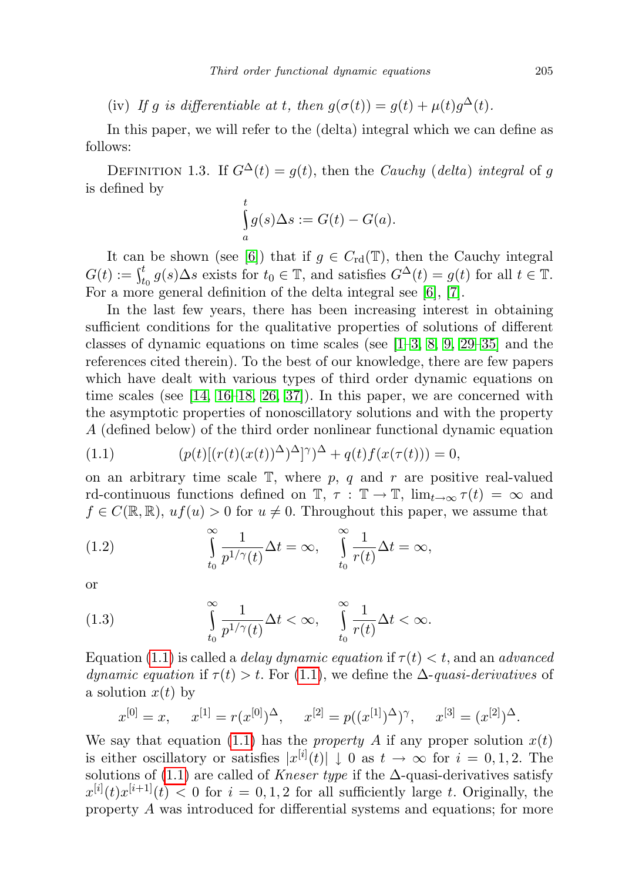(iv) If g is differentiable at t, then  $g(\sigma(t)) = g(t) + \mu(t)g^{\Delta}(t)$ .

In this paper, we will refer to the (delta) integral which we can define as follows:

DEFINITION 1.3. If  $G^{\Delta}(t) = g(t)$ , then the *Cauchy* (*delta*) integral of g is defined by

$$
\int_{a}^{t} g(s) \Delta s := G(t) - G(a).
$$

It can be shown (see [\[6\]](#page-17-0)) that if  $g \in C_{\rm rd}(\mathbb{T})$ , then the Cauchy integral  $G(t) := \int_{t_0}^t g(s) \Delta s$  exists for  $t_0 \in \mathbb{T}$ , and satisfies  $G^{\Delta}(t) = g(t)$  for all  $t \in \mathbb{T}$ . For a more general definition of the delta integral see [\[6\]](#page-17-0), [\[7\]](#page-17-1).

In the last few years, there has been increasing interest in obtaining sufficient conditions for the qualitative properties of solutions of different classes of dynamic equations on time scales (see  $[1-3, 8, 9, 29-35]$  $[1-3, 8, 9, 29-35]$  $[1-3, 8, 9, 29-35]$  $[1-3, 8, 9, 29-35]$  $[1-3, 8, 9, 29-35]$  $[1-3, 8, 9, 29-35]$  and the references cited therein). To the best of our knowledge, there are few papers which have dealt with various types of third order dynamic equations on time scales (see  $[14, 16-18, 26, 37]$  $[14, 16-18, 26, 37]$  $[14, 16-18, 26, 37]$  $[14, 16-18, 26, 37]$  $[14, 16-18, 26, 37]$ ). In this paper, we are concerned with the asymptotic properties of nonoscillatory solutions and with the property A (defined below) of the third order nonlinear functional dynamic equation

<span id="page-2-0"></span>(1.1) 
$$
(p(t)[(r(t)(x(t))^{\Delta})^{\Delta}]^{\gamma})^{\Delta} + q(t)f(x(\tau(t))) = 0,
$$

on an arbitrary time scale  $\mathbb{T}$ , where p, q and r are positive real-valued rd-continuous functions defined on  $\mathbb{T}, \tau : \mathbb{T} \to \mathbb{T}$ ,  $\lim_{t \to \infty} \tau(t) = \infty$  and  $f \in C(\mathbb{R}, \mathbb{R})$ ,  $uf(u) > 0$  for  $u \neq 0$ . Throughout this paper, we assume that

<span id="page-2-1"></span>(1.2) 
$$
\int_{t_0}^{\infty} \frac{1}{p^{1/\gamma}(t)} \Delta t = \infty, \quad \int_{t_0}^{\infty} \frac{1}{r(t)} \Delta t = \infty,
$$

or

<span id="page-2-2"></span>(1.3) 
$$
\int_{t_0}^{\infty} \frac{1}{p^{1/\gamma}(t)} \Delta t < \infty, \quad \int_{t_0}^{\infty} \frac{1}{r(t)} \Delta t < \infty.
$$

Equation [\(1.1\)](#page-2-0) is called a *delay dynamic equation* if  $\tau(t) < t$ , and an *advanced* dynamic equation if  $\tau(t) > t$ . For [\(1.1\)](#page-2-0), we define the  $\Delta$ -quasi-derivatives of a solution  $x(t)$  by

$$
x^{[0]} = x
$$
,  $x^{[1]} = r(x^{[0]})^{\Delta}$ ,  $x^{[2]} = p((x^{[1]})^{\Delta})^{\gamma}$ ,  $x^{[3]} = (x^{[2]})^{\Delta}$ .

We say that equation [\(1.1\)](#page-2-0) has the *property A* if any proper solution  $x(t)$ is either oscillatory or satisfies  $|x^{[i]}(t)| \downarrow 0$  as  $t \to \infty$  for  $i = 0, 1, 2$ . The solutions of [\(1.1\)](#page-2-0) are called of Kneser type if the  $\Delta$ -quasi-derivatives satisfy  $x^{[i]}(t)x^{[i+1]}(t) < 0$  for  $i = 0, 1, 2$  for all sufficiently large t. Originally, the property A was introduced for differential systems and equations; for more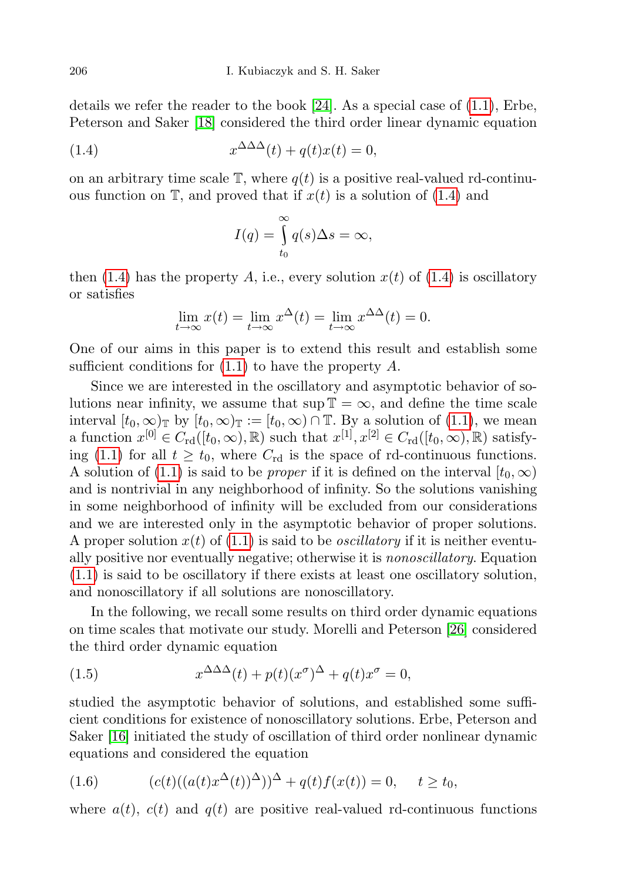details we refer the reader to the book  $[24]$ . As a special case of  $(1.1)$ , Erbe, Peterson and Saker [\[18\]](#page-18-5) considered the third order linear dynamic equation

(1.4) 
$$
x^{\Delta\Delta\Delta}(t) + q(t)x(t) = 0,
$$

on an arbitrary time scale  $\mathbb{T}$ , where  $q(t)$  is a positive real-valued rd-continuous function on  $\mathbb{T}$ , and proved that if  $x(t)$  is a solution of [\(1.4\)](#page-3-0) and

<span id="page-3-0"></span>
$$
I(q) = \int_{t_0}^{\infty} q(s) \Delta s = \infty,
$$

then [\(1.4\)](#page-3-0) has the property A, i.e., every solution  $x(t)$  of (1.4) is oscillatory or satisfies

$$
\lim_{t \to \infty} x(t) = \lim_{t \to \infty} x^{\Delta}(t) = \lim_{t \to \infty} x^{\Delta\Delta}(t) = 0.
$$

One of our aims in this paper is to extend this result and establish some sufficient conditions for  $(1.1)$  to have the property A.

Since we are interested in the oscillatory and asymptotic behavior of solutions near infinity, we assume that sup  $\mathbb{T} = \infty$ , and define the time scale interval  $[t_0, \infty)_\mathbb{T}$  by  $[t_0, \infty)_\mathbb{T} := [t_0, \infty) \cap \mathbb{T}$ . By a solution of [\(1.1\)](#page-2-0), we mean a function  $x^{[0]} \in C_{\rm rd}([t_0, \infty), \mathbb{R})$  such that  $x^{[1]}, x^{[2]} \in C_{\rm rd}([t_0, \infty), \mathbb{R})$  satisfy-ing [\(1.1\)](#page-2-0) for all  $t \geq t_0$ , where  $C_{\rm rd}$  is the space of rd-continuous functions. A solution of [\(1.1\)](#page-2-0) is said to be *proper* if it is defined on the interval  $[t_0, \infty)$ and is nontrivial in any neighborhood of infinity. So the solutions vanishing in some neighborhood of infinity will be excluded from our considerations and we are interested only in the asymptotic behavior of proper solutions. A proper solution  $x(t)$  of [\(1.1\)](#page-2-0) is said to be *oscillatory* if it is neither eventually positive nor eventually negative; otherwise it is nonoscillatory. Equation [\(1.1\)](#page-2-0) is said to be oscillatory if there exists at least one oscillatory solution, and nonoscillatory if all solutions are nonoscillatory.

In the following, we recall some results on third order dynamic equations on time scales that motivate our study. Morelli and Peterson [\[26\]](#page-18-6) considered the third order dynamic equation

(1.5) 
$$
x^{\Delta\Delta\Delta}(t) + p(t)(x^{\sigma})^{\Delta} + q(t)x^{\sigma} = 0,
$$

studied the asymptotic behavior of solutions, and established some sufficient conditions for existence of nonoscillatory solutions. Erbe, Peterson and Saker [\[16\]](#page-18-4) initiated the study of oscillation of third order nonlinear dynamic equations and considered the equation

<span id="page-3-1"></span>(1.6) 
$$
(c(t)((a(t)x^{\Delta}(t))^{\Delta}))^{\Delta} + q(t)f(x(t)) = 0, \quad t \ge t_0,
$$

where  $a(t)$ ,  $c(t)$  and  $q(t)$  are positive real-valued rd-continuous functions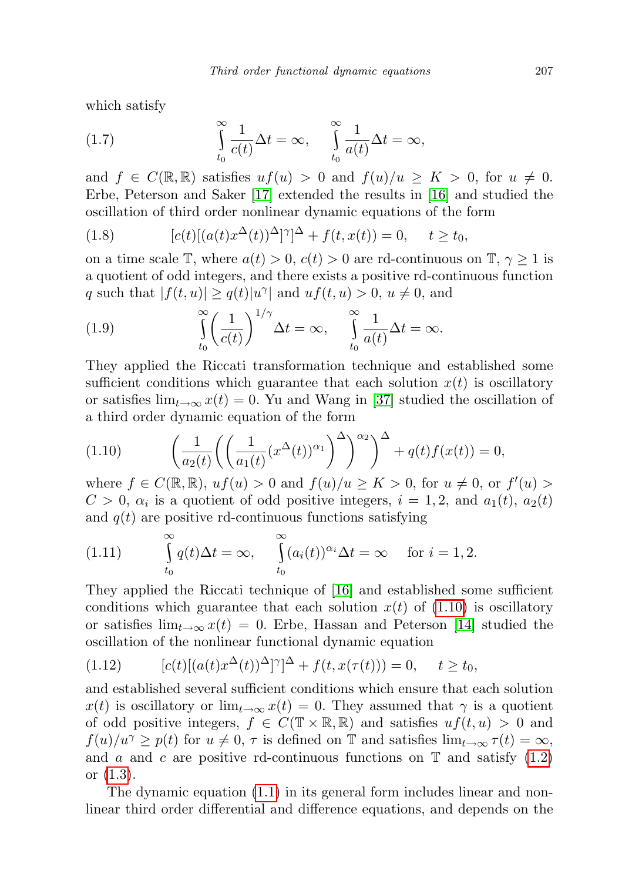which satisfy

<span id="page-4-1"></span>(1.7) 
$$
\int_{t_0}^{\infty} \frac{1}{c(t)} \Delta t = \infty, \quad \int_{t_0}^{\infty} \frac{1}{a(t)} \Delta t = \infty,
$$

and  $f \in C(\mathbb{R}, \mathbb{R})$  satisfies  $uf(u) > 0$  and  $f(u)/u > K > 0$ , for  $u \neq 0$ . Erbe, Peterson and Saker [\[17\]](#page-18-9) extended the results in [\[16\]](#page-18-4) and studied the oscillation of third order nonlinear dynamic equations of the form

<span id="page-4-2"></span>(1.8) 
$$
[c(t)[(a(t)x^{\Delta}(t))^{\Delta}]^{\gamma}]^{\Delta} + f(t, x(t)) = 0, \quad t \ge t_0,
$$

on a time scale T, where  $a(t) > 0$ ,  $c(t) > 0$  are rd-continuous on T,  $\gamma \geq 1$  is a quotient of odd integers, and there exists a positive rd-continuous function q such that  $|f(t, u)| \ge q(t)|u^{\gamma}|$  and  $uf(t, u) > 0, u \neq 0$ , and

<span id="page-4-3"></span>(1.9) 
$$
\int_{t_0}^{\infty} \left(\frac{1}{c(t)}\right)^{1/\gamma} \Delta t = \infty, \quad \int_{t_0}^{\infty} \frac{1}{a(t)} \Delta t = \infty.
$$

They applied the Riccati transformation technique and established some sufficient conditions which guarantee that each solution  $x(t)$  is oscillatory or satisfies  $\lim_{t\to\infty} x(t) = 0$ . Yu and Wang in [\[37\]](#page-18-7) studied the oscillation of a third order dynamic equation of the form

<span id="page-4-0"></span>(1.10) 
$$
\left(\frac{1}{a_2(t)}\left(\left(\frac{1}{a_1(t)}(x^{\Delta}(t))^{\alpha_1}\right)^{\Delta}\right)^{\alpha_2}\right)^{\Delta} + q(t)f(x(t)) = 0,
$$

where  $f \in C(\mathbb{R}, \mathbb{R})$ ,  $uf(u) > 0$  and  $f(u)/u \ge K > 0$ , for  $u \ne 0$ , or  $f'(u) >$  $C > 0$ ,  $\alpha_i$  is a quotient of odd positive integers,  $i = 1, 2$ , and  $a_1(t)$ ,  $a_2(t)$ and  $q(t)$  are positive rd-continuous functions satisfying

(1.11) 
$$
\int_{t_0}^{\infty} q(t) \Delta t = \infty, \quad \int_{t_0}^{\infty} (a_i(t))^{\alpha_i} \Delta t = \infty \quad \text{for } i = 1, 2.
$$

They applied the Riccati technique of [\[16\]](#page-18-4) and established some sufficient conditions which guarantee that each solution  $x(t)$  of  $(1.10)$  is oscillatory or satisfies  $\lim_{t\to\infty} x(t) = 0$ . Erbe, Hassan and Peterson [\[14\]](#page-18-3) studied the oscillation of the nonlinear functional dynamic equation

(1.12) 
$$
[c(t)[(a(t)x^{\Delta}(t))^{\Delta}]^{\gamma}]^{\Delta} + f(t, x(\tau(t))) = 0, \quad t \ge t_0,
$$

and established several sufficient conditions which ensure that each solution  $x(t)$  is oscillatory or  $\lim_{t\to\infty}x(t)=0$ . They assumed that  $\gamma$  is a quotient of odd positive integers,  $f \in C(\mathbb{T} \times \mathbb{R}, \mathbb{R})$  and satisfies  $uf(t, u) > 0$  and  $f(u)/u^{\gamma} \geq p(t)$  for  $u \neq 0, \tau$  is defined on T and satisfies  $\lim_{t \to \infty} \tau(t) = \infty$ , and a and c are positive rd-continuous functions on  $\mathbb T$  and satisfy [\(1.2\)](#page-2-1) or [\(1.3\)](#page-2-2).

The dynamic equation [\(1.1\)](#page-2-0) in its general form includes linear and nonlinear third order differential and difference equations, and depends on the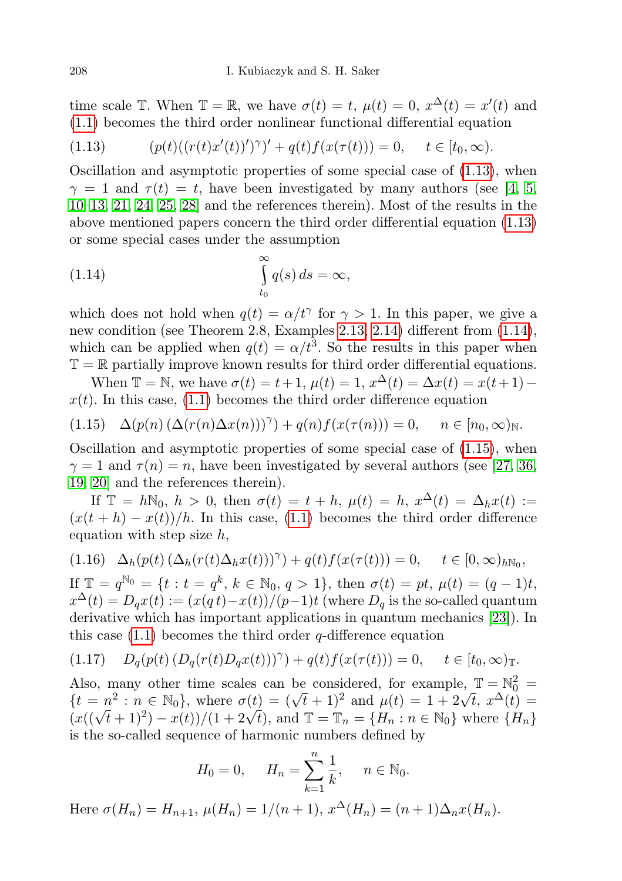time scale  $\mathbb{T}$ . When  $\mathbb{T} = \mathbb{R}$ , we have  $\sigma(t) = t$ ,  $\mu(t) = 0$ ,  $x^{\Delta}(t) = x'(t)$  and [\(1.1\)](#page-2-0) becomes the third order nonlinear functional differential equation

<span id="page-5-0"></span>(1.13) 
$$
(p(t)((r(t)x'(t))')^{\gamma})' + q(t)f(x(\tau(t))) = 0, \quad t \in [t_0, \infty).
$$

Oscillation and asymptotic properties of some special case of  $(1.13)$ , when  $\gamma = 1$  and  $\tau(t) = t$ , have been investigated by many authors (see [\[4,](#page-17-6) [5,](#page-17-7) [10](#page-17-8)[–13,](#page-18-10) [21,](#page-18-11) [24,](#page-18-8) [25,](#page-18-12) [28\]](#page-18-13) and the references therein). Most of the results in the above mentioned papers concern the third order differential equation [\(1.13\)](#page-5-0) or some special cases under the assumption

<span id="page-5-1"></span>(1.14) 
$$
\int_{t_0}^{\infty} q(s) ds = \infty,
$$

which does not hold when  $q(t) = \alpha/t^{\gamma}$  for  $\gamma > 1$ . In this paper, we give a new condition (see Theorem 2.8, Examples [2.13,](#page-14-0) [2.14\)](#page-15-0) different from [\(1.14\)](#page-5-1), which can be applied when  $q(t) = \alpha/t^3$ . So the results in this paper when  $\mathbb{T} = \mathbb{R}$  partially improve known results for third order differential equations.

When  $\mathbb{T} = \mathbb{N}$ , we have  $\sigma(t) = t + 1$ ,  $\mu(t) = 1$ ,  $x^{\Delta}(t) = \Delta x(t) = x(t+1)$  $x(t)$ . In this case, [\(1.1\)](#page-2-0) becomes the third order difference equation

<span id="page-5-2"></span>
$$
(1.15)\quad \Delta(p(n)\left(\Delta(r(n)\Delta x(n))\right)^{\gamma})+q(n)f(x(\tau(n)))=0,\quad n\in[n_0,\infty)_{\mathbb{N}}.
$$

Oscillation and asymptotic properties of some special case of [\(1.15\)](#page-5-2), when  $\gamma = 1$  and  $\tau(n) = n$ , have been investigated by several authors (see [\[27,](#page-18-14) [36,](#page-18-15) [19,](#page-18-16) [20\]](#page-18-17) and the references therein).

If  $\mathbb{T} = h\mathbb{N}_0$ ,  $h > 0$ , then  $\sigma(t) = t + h$ ,  $\mu(t) = h$ ,  $x^{\Delta}(t) = \Delta_h x(t) :=$  $(x(t + h) - x(t))/h$ . In this case, [\(1.1\)](#page-2-0) becomes the third order difference equation with step size  $h$ ,

<span id="page-5-3"></span>
$$
(1.16)\quad \Delta_h(p(t)\left(\Delta_h(r(t)\Delta_h x(t))\right)^{\gamma}) + q(t)f(x(\tau(t))) = 0, \quad t \in [0,\infty)_{h\mathbb{N}_0},
$$

If  $\mathbb{T} = q^{\mathbb{N}_0} = \{t : t = q^k, k \in \mathbb{N}_0, q > 1\}$ , then  $\sigma(t) = pt, \mu(t) = (q - 1)t$ ,  $x^{\Delta}(t) = D_q x(t) := (x(q t) - x(t))/(p-1)t$  (where  $D_q$  is the so-called quantum derivative which has important applications in quantum mechanics [\[23\]](#page-18-18)). In this case  $(1.1)$  becomes the third order q-difference equation

<span id="page-5-4"></span>
$$
(1.17) \tD_q(p(t) (D_q(r(t)D_q x(t)))^{\gamma}) + q(t) f(x(\tau(t))) = 0, \t t \in [t_0, \infty)_{\mathbb{T}}.
$$

Also, many other time scales can be considered, for example,  $\mathbb{T} = \mathbb{N}_0^2$ Also, many other time scales can be considered, for example,  $\mathbb{I} = \mathbb{N}_0 =$ <br> $\{t = n^2 : n \in \mathbb{N}_0\}$ , where  $\sigma(t) = (\sqrt{t} + 1)^2$  and  $\mu(t) = 1 + 2\sqrt{t}$ ,  $x^{\Delta}(t) =$  $\{t = n^{\circ} : n \in \mathbb{N}_0\},\$  where  $\sigma(t) = (\sqrt{t^2 + 1})^2$  and  $\mu(t) = 1 + 2\sqrt{t}, x^2(t) = (x((\sqrt{t^2 + 1})^2) - x(t))/(1 + 2\sqrt{t}),\$ and  $\mathbb{T} = \mathbb{T}_n = \{H_n : n \in \mathbb{N}_0\}$  where  $\{H_n\}$ is the so-called sequence of harmonic numbers defined by

$$
H_0 = 0
$$
,  $H_n = \sum_{k=1}^n \frac{1}{k}$ ,  $n \in \mathbb{N}_0$ .

Here  $\sigma(H_n) = H_{n+1}$ ,  $\mu(H_n) = 1/(n+1)$ ,  $x^{\Delta}(H_n) = (n+1)\Delta_n x(H_n)$ .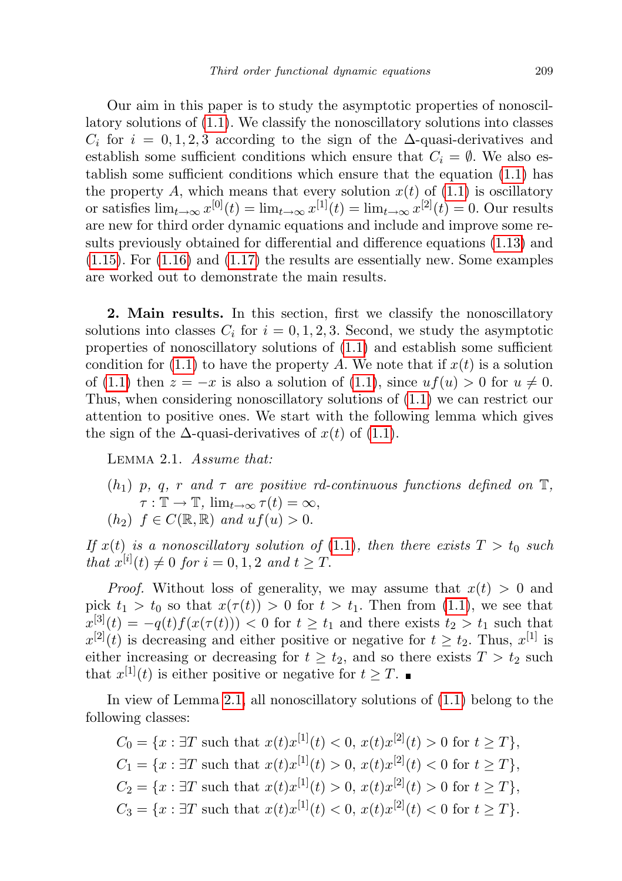Our aim in this paper is to study the asymptotic properties of nonoscillatory solutions of [\(1.1\)](#page-2-0). We classify the nonoscillatory solutions into classes  $C_i$  for  $i = 0, 1, 2, 3$  according to the sign of the  $\Delta$ -quasi-derivatives and establish some sufficient conditions which ensure that  $C_i = \emptyset$ . We also establish some sufficient conditions which ensure that the equation [\(1.1\)](#page-2-0) has the property A, which means that every solution  $x(t)$  of  $(1.1)$  is oscillatory or satisfies  $\lim_{t\to\infty} x^{[0]}(t) = \lim_{t\to\infty} x^{[1]}(t) = \lim_{t\to\infty} x^{[2]}(t) = 0$ . Our results are new for third order dynamic equations and include and improve some results previously obtained for differential and difference equations [\(1.13\)](#page-5-0) and [\(1.15\)](#page-5-2). For [\(1.16\)](#page-5-3) and [\(1.17\)](#page-5-4) the results are essentially new. Some examples are worked out to demonstrate the main results.

2. Main results. In this section, first we classify the nonoscillatory solutions into classes  $C_i$  for  $i = 0, 1, 2, 3$ . Second, we study the asymptotic properties of nonoscillatory solutions of [\(1.1\)](#page-2-0) and establish some sufficient condition for  $(1.1)$  to have the property A. We note that if  $x(t)$  is a solution of [\(1.1\)](#page-2-0) then  $z = -x$  is also a solution of (1.1), since  $uf(u) > 0$  for  $u \neq 0$ . Thus, when considering nonoscillatory solutions of [\(1.1\)](#page-2-0) we can restrict our attention to positive ones. We start with the following lemma which gives the sign of the  $\Delta$ -quasi-derivatives of  $x(t)$  of [\(1.1\)](#page-2-0).

<span id="page-6-0"></span>Lemma 2.1. Assume that:

 $(h_1)$  p, q, r and  $\tau$  are positive rd-continuous functions defined on  $\mathbb{T}$ ,  $\tau : \mathbb{T} \to \mathbb{T}$ ,  $\lim_{t \to \infty} \tau(t) = \infty$ ,  $(h_2)$   $f \in C(\mathbb{R}, \mathbb{R})$  and  $uf(u) > 0$ .

If  $x(t)$  is a nonoscillatory solution of [\(1.1\)](#page-2-0), then there exists  $T > t_0$  such that  $x^{[i]}(t) \neq 0$  for  $i = 0, 1, 2$  and  $t \geq T$ .

*Proof.* Without loss of generality, we may assume that  $x(t) > 0$  and pick  $t_1 > t_0$  so that  $x(\tau(t)) > 0$  for  $t > t_1$ . Then from [\(1.1\)](#page-2-0), we see that  $x^{[3]}(t) = -q(t)f(x(\tau(t))) < 0$  for  $t \geq t_1$  and there exists  $t_2 > t_1$  such that  $x^{[2]}(t)$  is decreasing and either positive or negative for  $t \geq t_2$ . Thus,  $x^{[1]}$  is either increasing or decreasing for  $t \geq t_2$ , and so there exists  $T > t_2$  such that  $x^{[1]}(t)$  is either positive or negative for  $t \geq T$ .

In view of Lemma [2.1,](#page-6-0) all nonoscillatory solutions of [\(1.1\)](#page-2-0) belong to the following classes:

$$
C_0 = \{x : \exists T \text{ such that } x(t)x^{[1]}(t) < 0, \, x(t)x^{[2]}(t) > 0 \text{ for } t \geq T\},
$$
\n
$$
C_1 = \{x : \exists T \text{ such that } x(t)x^{[1]}(t) > 0, \, x(t)x^{[2]}(t) < 0 \text{ for } t \geq T\},
$$
\n
$$
C_2 = \{x : \exists T \text{ such that } x(t)x^{[1]}(t) > 0, \, x(t)x^{[2]}(t) > 0 \text{ for } t \geq T\},
$$
\n
$$
C_3 = \{x : \exists T \text{ such that } x(t)x^{[1]}(t) < 0, \, x(t)x^{[2]}(t) < 0 \text{ for } t \geq T\}.
$$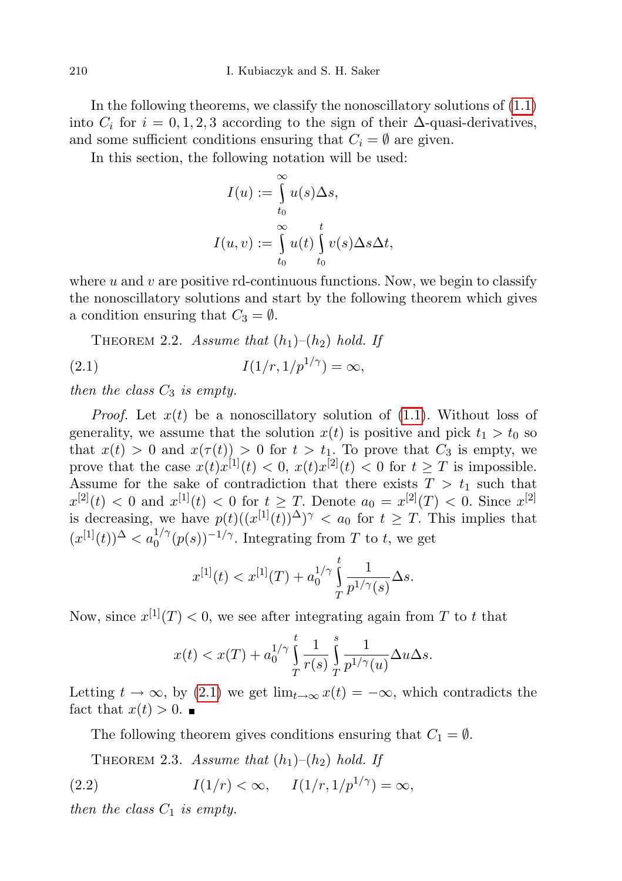In the following theorems, we classify the nonoscillatory solutions of [\(1.1\)](#page-2-0) into  $C_i$  for  $i = 0, 1, 2, 3$  according to the sign of their  $\Delta$ -quasi-derivatives, and some sufficient conditions ensuring that  $C_i = \emptyset$  are given.

In this section, the following notation will be used:

$$
I(u) := \int_{t_0}^{\infty} u(s) \Delta s,
$$
  

$$
I(u, v) := \int_{t_0}^{\infty} u(t) \int_{t_0}^{t} v(s) \Delta s \Delta t,
$$

where  $u$  and  $v$  are positive rd-continuous functions. Now, we begin to classify the nonoscillatory solutions and start by the following theorem which gives a condition ensuring that  $C_3 = \emptyset$ .

<span id="page-7-2"></span><span id="page-7-0"></span>THEOREM 2.2. Assume that  $(h_1)$ – $(h_2)$  hold. If

(2.1) 
$$
I(1/r, 1/p^{1/\gamma}) = \infty,
$$

then the class  $C_3$  is empty.

*Proof.* Let  $x(t)$  be a nonoscillatory solution of  $(1.1)$ . Without loss of generality, we assume that the solution  $x(t)$  is positive and pick  $t_1 > t_0$  so that  $x(t) > 0$  and  $x(\tau(t)) > 0$  for  $t > t_1$ . To prove that  $C_3$  is empty, we prove that the case  $x(t)x^{[1]}(t) < 0$ ,  $x(t)x^{[2]}(t) < 0$  for  $t \geq T$  is impossible. Assume for the sake of contradiction that there exists  $T > t_1$  such that  $x^{[2]}(t) < 0$  and  $x^{[1]}(t) < 0$  for  $t \geq T$ . Denote  $a_0 = x^{[2]}(T) < 0$ . Since  $x^{[2]}$ is decreasing, we have  $p(t) ((x^{[1]}(t))^{\Delta})^{\gamma} < a_0$  for  $t \geq T$ . This implies that  $(x^{[1]}(t))^{\Delta} < a_0^{1/\gamma}(p(s))^{-1/\gamma}$ . Integrating from T to t, we get

$$
x^{[1]}(t) < x^{[1]}(T) + a_0^{1/\gamma} \int_T^t \frac{1}{p^{1/\gamma}(s)} \Delta s.
$$

Now, since  $x^{[1]}(T) < 0$ , we see after integrating again from T to t that

$$
x(t) < x(T) + a_0^{1/\gamma} \int_T^t \frac{1}{r(s)} \int_T^s \frac{1}{p^{1/\gamma}(u)} \Delta u \Delta s.
$$

Letting  $t \to \infty$ , by [\(2.1\)](#page-7-0) we get  $\lim_{t\to\infty} x(t) = -\infty$ , which contradicts the fact that  $x(t) > 0$ .

The following theorem gives conditions ensuring that  $C_1 = \emptyset$ .

<span id="page-7-1"></span>THEOREM 2.3. Assume that  $(h_1)$ – $(h_2)$  hold. If

(2.2) 
$$
I(1/r) < \infty
$$
,  $I(1/r, 1/p^{1/\gamma}) = \infty$ ,

then the class  $C_1$  is empty.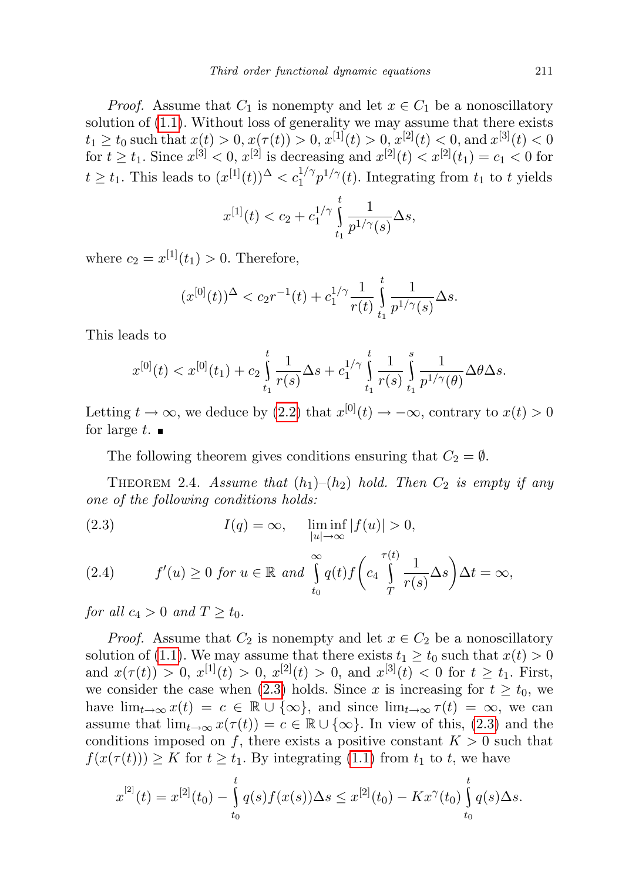*Proof.* Assume that  $C_1$  is nonempty and let  $x \in C_1$  be a nonoscillatory solution of  $(1.1)$ . Without loss of generality we may assume that there exists  $t_1 \ge t_0$  such that  $x(t) > 0, x(\tau(t)) > 0, x^{[1]}(t) > 0, x^{[2]}(t) < 0$ , and  $x^{[3]}(t) < 0$ for  $t \ge t_1$ . Since  $x^{[3]} < 0, x^{[2]}$  is decreasing and  $x^{[2]}(t) < x^{[2]}(t_1) = c_1 < 0$  for  $t \geq t_1$ . This leads to  $(x^{[1]}(t))^{\Delta} < c_1^{1/\gamma} p^{1/\gamma}(t)$ . Integrating from  $t_1$  to t yields

$$
x^{[1]}(t) < c_2 + c_1^{1/\gamma} \int\limits_{t_1}^t \frac{1}{p^{1/\gamma}(s)} \Delta s,
$$

where  $c_2 = x^{[1]}(t_1) > 0$ . Therefore,

$$
(x^{[0]}(t))^\Delta < c_2 r^{-1}(t) + c_1^{1/\gamma} \frac{1}{r(t)} \int_{t_1}^t \frac{1}{p^{1/\gamma}(s)} \Delta s.
$$

This leads to

$$
x^{[0]}(t) < x^{[0]}(t_1) + c_2 \int_{t_1}^t \frac{1}{r(s)} \Delta s + c_1^{1/\gamma} \int_{t_1}^t \frac{1}{r(s)} \int_{t_1}^s \frac{1}{p^{1/\gamma}(\theta)} \Delta \theta \Delta s.
$$

Letting  $t \to \infty$ , we deduce by [\(2.2\)](#page-7-1) that  $x^{[0]}(t) \to -\infty$ , contrary to  $x(t) > 0$ for large  $t$ .

The following theorem gives conditions ensuring that  $C_2 = \emptyset$ .

THEOREM 2.4. Assume that  $(h_1)$ – $(h_2)$  hold. Then  $C_2$  is empty if any one of the following conditions holds:

<span id="page-8-0"></span>(2.3) 
$$
I(q) = \infty, \quad \liminf_{|u| \to \infty} |f(u)| > 0,
$$

<span id="page-8-1"></span>(2.4) 
$$
f'(u) \ge 0 \text{ for } u \in \mathbb{R} \text{ and } \int_{t_0}^{\infty} q(t) f\left(c_4 \int_{T}^{\tau(t)} \frac{1}{r(s)} \Delta s\right) \Delta t = \infty,
$$

for all  $c_4 > 0$  and  $T \geq t_0$ .

*Proof.* Assume that  $C_2$  is nonempty and let  $x \in C_2$  be a nonoscillatory solution of [\(1.1\)](#page-2-0). We may assume that there exists  $t_1 \ge t_0$  such that  $x(t) > 0$ and  $x(\tau(t)) > 0$ ,  $x^{[1]}(t) > 0$ ,  $x^{[2]}(t) > 0$ , and  $x^{[3]}(t) < 0$  for  $t \ge t_1$ . First, we consider the case when [\(2.3\)](#page-8-0) holds. Since x is increasing for  $t \geq t_0$ , we have  $\lim_{t\to\infty} x(t) = c \in \mathbb{R} \cup \{\infty\}$ , and since  $\lim_{t\to\infty} \tau(t) = \infty$ , we can assume that  $\lim_{t\to\infty} x(\tau(t)) = c \in \mathbb{R} \cup \{\infty\}$ . In view of this, [\(2.3\)](#page-8-0) and the conditions imposed on f, there exists a positive constant  $K > 0$  such that  $f(x(\tau(t))) \geq K$  for  $t \geq t_1$ . By integrating [\(1.1\)](#page-2-0) from  $t_1$  to  $t$ , we have

$$
x^{[2]}(t) = x^{[2]}(t_0) - \int_{t_0}^t q(s) f(x(s)) \Delta s \leq x^{[2]}(t_0) - Kx^{\gamma}(t_0) \int_{t_0}^t q(s) \Delta s.
$$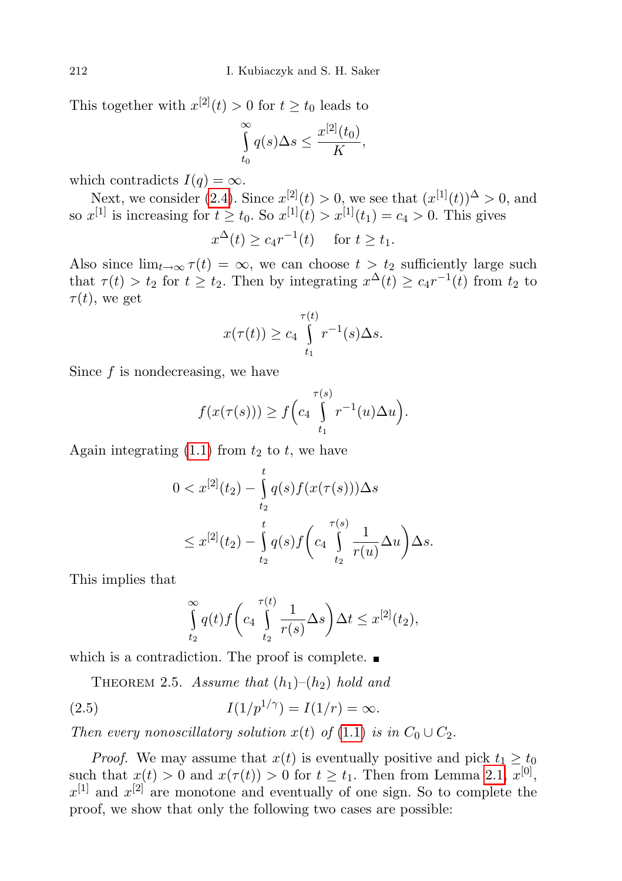This together with  $x^{[2]}(t) > 0$  for  $t \ge t_0$  leads to

$$
\int_{t_0}^{\infty} q(s) \Delta s \le \frac{x^{[2]}(t_0)}{K},
$$

which contradicts  $I(q) = \infty$ .

Next, we consider [\(2.4\)](#page-8-1). Since  $x^{[2]}(t) > 0$ , we see that  $(x^{[1]}(t))^{\Delta} > 0$ , and so  $x^{[1]}$  is increasing for  $t \ge t_0$ . So  $x^{[1]}(t) > x^{[1]}(t_1) = c_4 > 0$ . This gives

$$
x^{\Delta}(t) \ge c_4 r^{-1}(t) \quad \text{ for } t \ge t_1.
$$

Also since  $\lim_{t\to\infty} \tau(t) = \infty$ , we can choose  $t > t_2$  sufficiently large such that  $\tau(t) > t_2$  for  $t \geq t_2$ . Then by integrating  $x^{\Delta}(t) \geq c_4 r^{-1}(t)$  from  $t_2$  to  $\tau(t)$ , we get

$$
x(\tau(t)) \ge c_4 \int_{t_1}^{\tau(t)} r^{-1}(s) \Delta s.
$$

Since  $f$  is nondecreasing, we have

$$
f(x(\tau(s))) \ge f\Big(c_4\int_{t_1}^{\tau(s)} r^{-1}(u)\Delta u\Big).
$$

Again integrating  $(1.1)$  from  $t_2$  to  $t$ , we have

$$
0 < x^{[2]}(t_2) - \int_{t_2}^t q(s) f(x(\tau(s))) \Delta s
$$
\n
$$
\leq x^{[2]}(t_2) - \int_{t_2}^t q(s) f\left(c_4 \int_{t_2}^{\tau(s)} \frac{1}{r(u)} \Delta u\right) \Delta s.
$$

This implies that

<span id="page-9-0"></span>
$$
\int_{t_2}^{\infty} q(t) f\left(c_4 \int_{t_2}^{\tau(t)} \frac{1}{r(s)} \Delta s\right) \Delta t \leq x^{[2]}(t_2),
$$

which is a contradiction. The proof is complete.  $\blacksquare$ 

<span id="page-9-1"></span>THEOREM 2.5. Assume that  $(h_1)$ – $(h_2)$  hold and

(2.5) 
$$
I(1/p^{1/\gamma}) = I(1/r) = \infty.
$$

Then every nonoscillatory solution  $x(t)$  of  $(1.1)$  is in  $C_0 \cup C_2$ .

*Proof.* We may assume that  $x(t)$  is eventually positive and pick  $t_1 \geq t_0$ such that  $x(t) > 0$  and  $x(\tau(t)) > 0$  for  $t \geq t_1$ . Then from Lemma [2.1,](#page-6-0)  $x^{[0]}$ ,  $x^{[1]}$  and  $x^{[2]}$  are monotone and eventually of one sign. So to complete the proof, we show that only the following two cases are possible: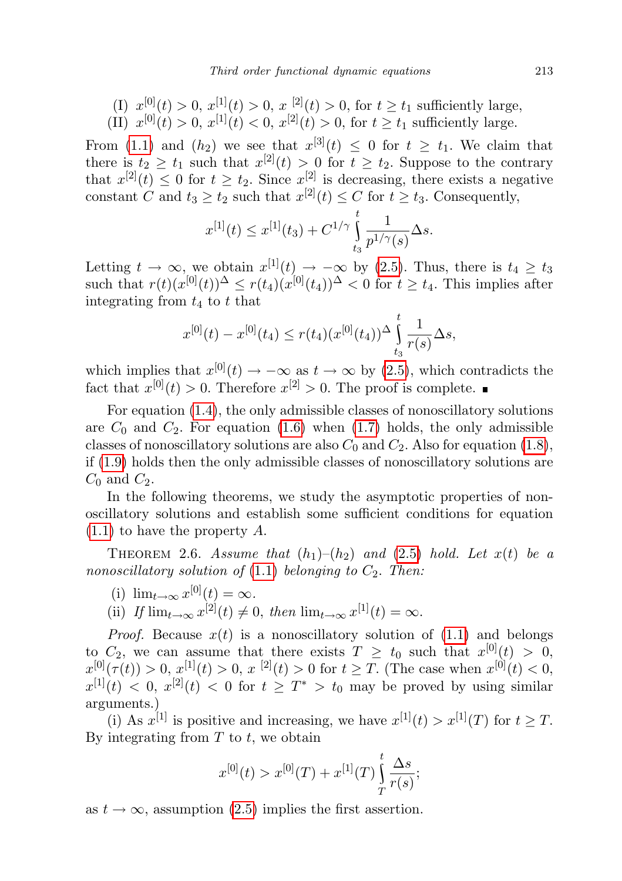(I)  $x^{[0]}(t) > 0$ ,  $x^{[1]}(t) > 0$ ,  $x^{[2]}(t) > 0$ , for  $t \ge t_1$  sufficiently large, (II)  $x^{[0]}(t) > 0, x^{[1]}(t) < 0, x^{[2]}(t) > 0$ , for  $t \ge t_1$  sufficiently large.

From [\(1.1\)](#page-2-0) and  $(h_2)$  we see that  $x^{[3]}(t) \leq 0$  for  $t \geq t_1$ . We claim that there is  $t_2 \geq t_1$  such that  $x^{[2]}(t) > 0$  for  $t \geq t_2$ . Suppose to the contrary that  $x^{[2]}(t) \leq 0$  for  $t \geq t_2$ . Since  $x^{[2]}$  is decreasing, there exists a negative constant C and  $t_3 \ge t_2$  such that  $x^{[2]}(t) \le C$  for  $t \ge t_3$ . Consequently,

$$
x^{[1]}(t) \le x^{[1]}(t_3) + C^{1/\gamma} \int_{t_3}^t \frac{1}{p^{1/\gamma}(s)} \Delta s.
$$

Letting  $t \to \infty$ , we obtain  $x^{[1]}(t) \to -\infty$  by [\(2.5\)](#page-9-0). Thus, there is  $t_4 \geq t_3$ such that  $r(t)(x^{[0]}(t))$ <sup> $\Delta$ </sup>  $\leq r(t_4)(x^{[0]}(t_4))^{\Delta}$   $<$  0 for  $t \geq t_4$ . This implies after integrating from  $t_4$  to  $t$  that

$$
x^{[0]}(t) - x^{[0]}(t_4) \le r(t_4) (x^{[0]}(t_4))^{ \Delta} \int_{t_3}^t \frac{1}{r(s)} \Delta s,
$$

which implies that  $x^{[0]}(t) \to -\infty$  as  $t \to \infty$  by [\(2.5\)](#page-9-0), which contradicts the fact that  $x^{[0]}(t) > 0$ . Therefore  $x^{[2]} > 0$ . The proof is complete.

For equation [\(1.4\)](#page-3-0), the only admissible classes of nonoscillatory solutions are  $C_0$  and  $C_2$ . For equation [\(1.6\)](#page-3-1) when [\(1.7\)](#page-4-1) holds, the only admissible classes of nonoscillatory solutions are also  $C_0$  and  $C_2$ . Also for equation [\(1.8\)](#page-4-2), if [\(1.9\)](#page-4-3) holds then the only admissible classes of nonoscillatory solutions are  $C_0$  and  $C_2$ .

In the following theorems, we study the asymptotic properties of nonoscillatory solutions and establish some sufficient conditions for equation [\(1.1\)](#page-2-0) to have the property A.

THEOREM 2.6. Assume that  $(h_1)$ – $(h_2)$  and  $(2.5)$  hold. Let  $x(t)$  be a nonoscillatory solution of  $(1.1)$  belonging to  $C_2$ . Then:

- (i)  $\lim_{t\to\infty} x^{[0]}(t) = \infty$ .
- (ii) If  $\lim_{t\to\infty} x^{[2]}(t) \neq 0$ , then  $\lim_{t\to\infty} x^{[1]}(t) = \infty$ .

*Proof.* Because  $x(t)$  is a nonoscillatory solution of  $(1.1)$  and belongs to  $C_2$ , we can assume that there exists  $T \geq t_0$  such that  $x^{[0]}(t) > 0$ ,  $x^{[0]}(\tau(t)) > 0, x^{[1]}(t) > 0, x^{[2]}(t) > 0$  for  $t \geq T$ . (The case when  $x^{[0]}(t) < 0$ ,  $x^{[1]}(t) < 0, x^{[2]}(t) < 0$  for  $t \geq T^* > t_0$  may be proved by using similar arguments.)

(i) As  $x^{[1]}$  is positive and increasing, we have  $x^{[1]}(t) > x^{[1]}(T)$  for  $t \geq T$ . By integrating from  $T$  to  $t$ , we obtain

$$
x^{[0]}(t) > x^{[0]}(T) + x^{[1]}(T) \int_{T}^{t} \frac{\Delta s}{r(s)};
$$

as  $t \to \infty$ , assumption [\(2.5\)](#page-9-0) implies the first assertion.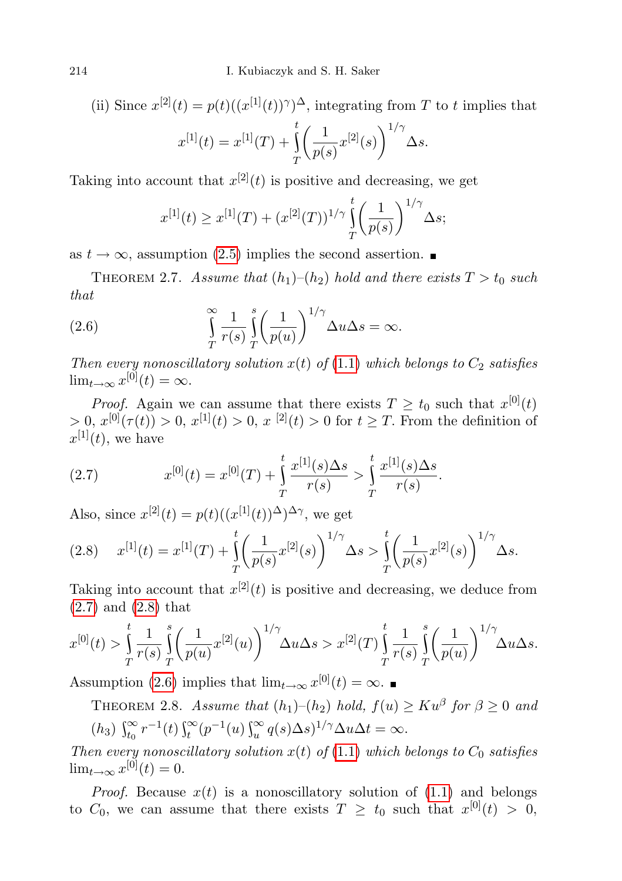(ii) Since  $x^{[2]}(t) = p(t)((x^{[1]}(t))^{\gamma})^{\Delta}$ , integrating from T to t implies that  $x^{[1]}(t) = x^{[1]}(T) +$  $\int_0^t \left( \frac{1}{-1} \right)$ T  $\frac{1}{p(s)}x^{[2]}(s)\bigg)^{1/\gamma} \Delta s.$ 

Taking into account that  $x^{[2]}(t)$  is positive and decreasing, we get

<span id="page-11-2"></span>
$$
x^{[1]}(t) \ge x^{[1]}(T) + (x^{[2]}(T))^{1/\gamma} \int_{T}^{t} \left(\frac{1}{p(s)}\right)^{1/\gamma} \Delta s;
$$

as  $t \to \infty$ , assumption [\(2.5\)](#page-9-0) implies the second assertion.

THEOREM 2.7. Assume that  $(h_1)$ – $(h_2)$  hold and there exists  $T > t_0$  such that

(2.6) 
$$
\int_{T}^{\infty} \frac{1}{r(s)} \int_{T}^{s} \left(\frac{1}{p(u)}\right)^{1/\gamma} \Delta u \Delta s = \infty.
$$

Then every nonoscillatory solution  $x(t)$  of [\(1.1\)](#page-2-0) which belongs to  $C_2$  satisfies  $\lim_{t\to\infty} x^{[0]}(t) = \infty.$ 

*Proof.* Again we can assume that there exists  $T \ge t_0$  such that  $x^{[0]}(t)$  $> 0, x^{[0]}(\tau(t)) > 0, x^{[1]}(t) > 0, x^{[2]}(t) > 0$  for  $t \geq T$ . From the definition of  $x^{[1]}(t)$ , we have

<span id="page-11-0"></span>(2.7) 
$$
x^{[0]}(t) = x^{[0]}(T) + \int_{T}^{t} \frac{x^{[1]}(s)\Delta s}{r(s)} > \int_{T}^{t} \frac{x^{[1]}(s)\Delta s}{r(s)}.
$$

Also, since  $x^{[2]}(t) = p(t)((x^{[1]}(t))^{\Delta})^{\Delta \gamma}$ , we get

<span id="page-11-1"></span>
$$
(2.8) \t x^{[1]}(t) = x^{[1]}(T) + \int_{T}^{t} \left(\frac{1}{p(s)} x^{[2]}(s)\right)^{1/\gamma} \Delta s > \int_{T}^{t} \left(\frac{1}{p(s)} x^{[2]}(s)\right)^{1/\gamma} \Delta s.
$$

Taking into account that  $x^{[2]}(t)$  is positive and decreasing, we deduce from [\(2.7\)](#page-11-0) and [\(2.8\)](#page-11-1) that

$$
x^{[0]}(t) > \int_{T}^{t} \frac{1}{r(s)} \int_{T}^{s} \left(\frac{1}{p(u)} x^{[2]}(u)\right)^{1/\gamma} \Delta u \Delta s > x^{[2]}(T) \int_{T}^{t} \frac{1}{r(s)} \int_{T}^{s} \left(\frac{1}{p(u)}\right)^{1/\gamma} \Delta u \Delta s.
$$

<span id="page-11-3"></span>Assumption [\(2.6\)](#page-11-2) implies that  $\lim_{t\to\infty} x^{[0]}(t) = \infty$ .

THEOREM 2.8. Assume that  $(h_1)$ - $(h_2)$  hold,  $f(u) \geq Ku^{\beta}$  for  $\beta \geq 0$  and (h<sub>3</sub>)  $\int_{t_0}^{\infty} r^{-1}(t) \int_{t}^{\infty} (p^{-1}(u) \int_u^{\infty} q(s) \Delta s)^{1/\gamma} \Delta u \Delta t = \infty.$ 

Then every nonoscillatory solution  $x(t)$  of [\(1.1\)](#page-2-0) which belongs to  $C_0$  satisfies  $\lim_{t\to\infty} x^{[0]}(t) = 0.$ 

*Proof.* Because  $x(t)$  is a nonoscillatory solution of  $(1.1)$  and belongs to  $C_0$ , we can assume that there exists  $T \ge t_0$  such that  $x^{[0]}(t) > 0$ ,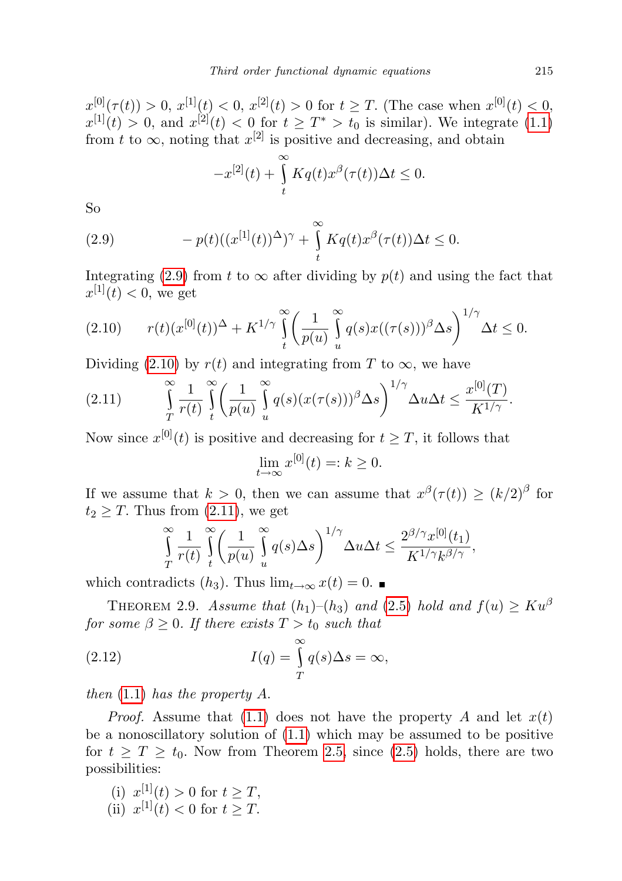$x^{[0]}(\tau(t)) > 0, x^{[1]}(t) < 0, x^{[2]}(t) > 0$  for  $t \geq T$ . (The case when  $x^{[0]}(t) < 0$ ,  $x^{[1]}(t) > 0$ , and  $x^{[2]}(t) < 0$  for  $t \geq T^* > t_0$  is similar). We integrate [\(1.1\)](#page-2-0) from t to  $\infty$ , noting that  $x^{[2]}$  is positive and decreasing, and obtain

<span id="page-12-0"></span>
$$
-x^{[2]}(t) + \int\limits_t^\infty Kq(t)x^{\beta}(\tau(t))\Delta t \leq 0.
$$

So

(2.9) 
$$
-p(t)((x^{[1]}(t))^{\Delta})^{\gamma} + \int\limits_{t}^{\infty} Kq(t)x^{\beta}(\tau(t))\Delta t \leq 0.
$$

Integrating [\(2.9\)](#page-12-0) from t to  $\infty$  after dividing by  $p(t)$  and using the fact that  $x^{[1]}(t) < 0$ , we get

<span id="page-12-1"></span>
$$
(2.10) \t r(t)(x^{[0]}(t))^{\Delta} + K^{1/\gamma} \int_{t}^{\infty} \left(\frac{1}{p(u)} \int_{u}^{\infty} q(s)x((\tau(s)))^{\beta} \Delta s\right)^{1/\gamma} \Delta t \leq 0.
$$

Dividing [\(2.10\)](#page-12-1) by  $r(t)$  and integrating from T to  $\infty$ , we have

<span id="page-12-2"></span>
$$
(2.11) \qquad \qquad \int\limits_T^\infty \frac{1}{r(t)} \int\limits_t^\infty \left(\frac{1}{p(u)} \int\limits_u^\infty q(s) (x(\tau(s)))^\beta \Delta s\right)^{1/\gamma} \Delta u \Delta t \leq \frac{x^{[0]}(T)}{K^{1/\gamma}}.
$$

Now since  $x^{[0]}(t)$  is positive and decreasing for  $t \geq T$ , it follows that

$$
\lim_{t \to \infty} x^{[0]}(t) =: k \ge 0.
$$

If we assume that  $k > 0$ , then we can assume that  $x^{\beta}(\tau(t)) \ge (k/2)^{\beta}$  for  $t_2 \geq T$ . Thus from  $(2.11)$ , we get

<span id="page-12-3"></span>
$$
\int_{T}^{\infty} \frac{1}{r(t)} \int_{t}^{\infty} \left( \frac{1}{p(u)} \int_{u}^{\infty} q(s) \Delta s \right)^{1/\gamma} \Delta u \Delta t \le \frac{2^{\beta/\gamma} x^{[0]}(t_1)}{K^{1/\gamma} k^{\beta/\gamma}},
$$

which contradicts  $(h_3)$ . Thus  $\lim_{t\to\infty} x(t) = 0$ .

<span id="page-12-4"></span>THEOREM 2.9. Assume that  $(h_1)$ – $(h_3)$  and  $(2.5)$  hold and  $f(u) \geq Ku^{\beta}$ for some  $\beta \geq 0$ . If there exists  $T > t_0$  such that

(2.12) 
$$
I(q) = \int_{T}^{\infty} q(s) \Delta s = \infty,
$$

then [\(1.1\)](#page-2-0) has the property A.

*Proof.* Assume that [\(1.1\)](#page-2-0) does not have the property A and let  $x(t)$ be a nonoscillatory solution of [\(1.1\)](#page-2-0) which may be assumed to be positive for  $t \geq T \geq t_0$ . Now from Theorem [2.5,](#page-9-1) since [\(2.5\)](#page-9-0) holds, there are two possibilities:

- (i)  $x^{[1]}(t) > 0$  for  $t \geq T$ ,
- (ii)  $x^{[1]}(t) < 0$  for  $t \geq T$ .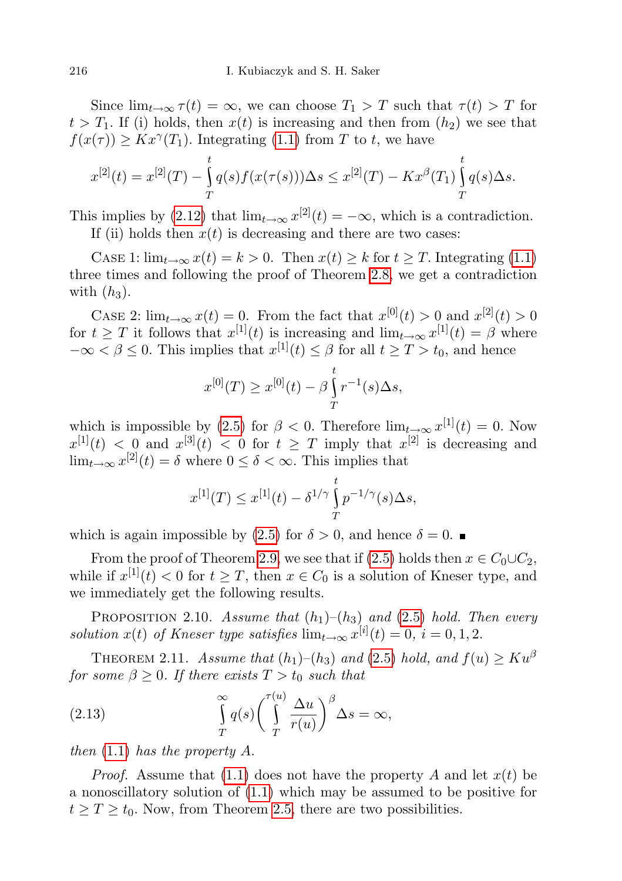Since  $\lim_{t\to\infty} \tau(t) = \infty$ , we can choose  $T_1 > T$  such that  $\tau(t) > T$  for  $t > T_1$ . If (i) holds, then  $x(t)$  is increasing and then from  $(h_2)$  we see that  $f(x(\tau)) \geq Kx^{\gamma}(T_1)$ . Integrating [\(1.1\)](#page-2-0) from T to t, we have

$$
x^{[2]}(t) = x^{[2]}(T) - \int_{T}^{t} q(s) f(x(\tau(s))) \Delta s \leq x^{[2]}(T) - Kx^{\beta}(T_1) \int_{T}^{t} q(s) \Delta s.
$$

This implies by [\(2.12\)](#page-12-3) that  $\lim_{t\to\infty} x^{[2]}(t) = -\infty$ , which is a contradiction.

If (ii) holds then  $x(t)$  is decreasing and there are two cases:

CASE 1:  $\lim_{t\to\infty} x(t) = k > 0$ . Then  $x(t) \geq k$  for  $t \geq T$ . Integrating [\(1.1\)](#page-2-0) three times and following the proof of Theorem [2.8,](#page-11-3) we get a contradiction with  $(h_3)$ .

CASE 2:  $\lim_{t\to\infty} x(t) = 0$ . From the fact that  $x^{[0]}(t) > 0$  and  $x^{[2]}(t) > 0$ for  $t \geq T$  it follows that  $x^{[1]}(t)$  is increasing and  $\lim_{t \to \infty} x^{[1]}(t) = \beta$  where  $-\infty < \beta \leq 0$ . This implies that  $x^{[1]}(t) \leq \beta$  for all  $t \geq T > t_0$ , and hence

$$
x^{[0]}(T) \ge x^{[0]}(t) - \beta \int_{T}^{t} r^{-1}(s) \Delta s,
$$

which is impossible by [\(2.5\)](#page-9-0) for  $\beta < 0$ . Therefore  $\lim_{t\to\infty} x^{[1]}(t) = 0$ . Now  $x^{[1]}(t) < 0$  and  $x^{[3]}(t) < 0$  for  $t \geq T$  imply that  $x^{[2]}$  is decreasing and  $\lim_{t\to\infty} x^{[2]}(t) = \delta$  where  $0 \leq \delta < \infty$ . This implies that

$$
x^{[1]}(T) \le x^{[1]}(t) - \delta^{1/\gamma} \int_{T}^{t} p^{-1/\gamma}(s) \Delta s,
$$

which is again impossible by [\(2.5\)](#page-9-0) for  $\delta > 0$ , and hence  $\delta = 0$ .

From the proof of Theorem [2.9,](#page-12-4) we see that if [\(2.5\)](#page-9-0) holds then  $x \in C_0 \cup C_2$ , while if  $x^{[1]}(t) < 0$  for  $t \geq T$ , then  $x \in C_0$  is a solution of Kneser type, and we immediately get the following results.

PROPOSITION 2.10. Assume that  $(h_1)$ – $(h_3)$  and  $(2.5)$  hold. Then every solution  $x(t)$  of Kneser type satisfies  $\lim_{t\to\infty} x^{[i]}(t) = 0, i = 0, 1, 2$ .

<span id="page-13-1"></span>THEOREM 2.11. Assume that  $(h_1)$ – $(h_3)$  and  $(2.5)$  hold, and  $f(u) \geq Ku^{\beta}$ for some  $\beta \geq 0$ . If there exists  $T > t_0$  such that

<span id="page-13-0"></span>(2.13) 
$$
\int_{T}^{\infty} q(s) \left( \int_{T}^{\tau(u)} \frac{\Delta u}{r(u)} \right)^{\beta} \Delta s = \infty,
$$

then  $(1.1)$  has the property A.

*Proof.* Assume that [\(1.1\)](#page-2-0) does not have the property A and let  $x(t)$  be a nonoscillatory solution of [\(1.1\)](#page-2-0) which may be assumed to be positive for  $t \geq T \geq t_0$ . Now, from Theorem [2.5,](#page-9-1) there are two possibilities.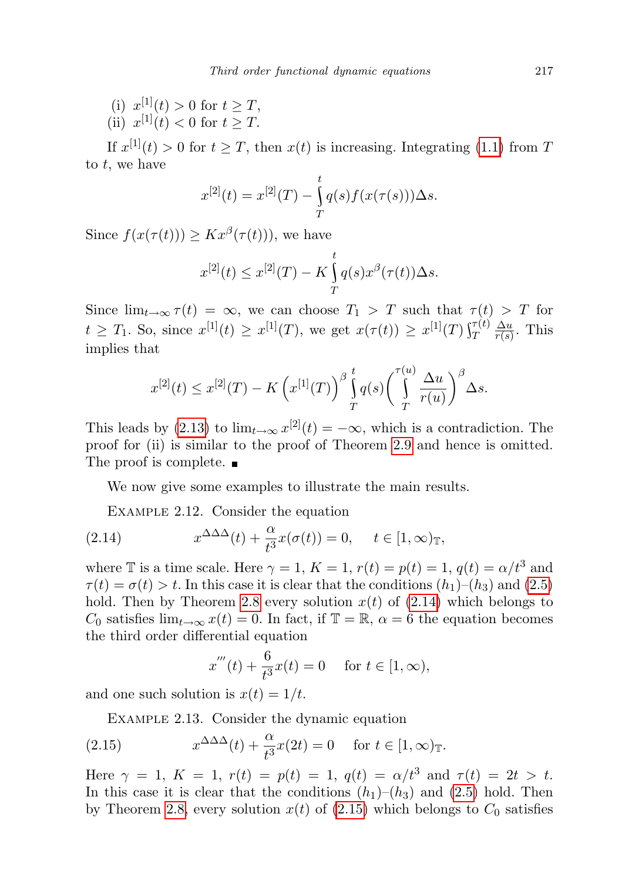(i)  $x^{[1]}(t) > 0$  for  $t \geq T$ , (ii)  $x^{[1]}(t) < 0$  for  $t \geq T$ .

If  $x^{[1]}(t) > 0$  for  $t \geq T$ , then  $x(t)$  is increasing. Integrating [\(1.1\)](#page-2-0) from T to t, we have

$$
x^{[2]}(t) = x^{[2]}(T) - \int_{T}^{t} q(s) f(x(\tau(s))) \Delta s.
$$

Since  $f(x(\tau(t))) \geq Kx^{\beta}(\tau(t))$ , we have

$$
x^{[2]}(t) \le x^{[2]}(T) - K \int_T^t q(s) x^{\beta}(\tau(t)) \Delta s.
$$

Since  $\lim_{t\to\infty} \tau(t) = \infty$ , we can choose  $T_1 > T$  such that  $\tau(t) > T$  for  $t \geq T_1$ . So, since  $x^{[1]}(t) \geq x^{[1]}(T)$ , we get  $x(\tau(t)) \geq x^{[1]}(T) \int_T^{\tau(t)}$  $\Delta u$  $\frac{\Delta u}{r(s)}$ . This implies that

$$
x^{[2]}(t) \leq x^{[2]}(T) - K\left(x^{[1]}(T)\right)^{\beta} \int_{T}^{t} q(s) \left(\int_{T}^{\tau(u)} \frac{\Delta u}{r(u)}\right)^{\beta} \Delta s.
$$

This leads by [\(2.13\)](#page-13-0) to  $\lim_{t\to\infty} x^{[2]}(t) = -\infty$ , which is a contradiction. The proof for (ii) is similar to the proof of Theorem [2.9](#page-12-4) and hence is omitted. The proof is complete.  $\blacksquare$ 

We now give some examples to illustrate the main results.

<span id="page-14-1"></span>EXAMPLE 2.12. Consider the equation

(2.14) 
$$
x^{\Delta\Delta\Delta}(t) + \frac{\alpha}{t^3}x(\sigma(t)) = 0, \quad t \in [1, \infty)_{\mathbb{T}},
$$

where T is a time scale. Here  $\gamma = 1$ ,  $K = 1$ ,  $r(t) = p(t) = 1$ ,  $q(t) = \alpha/t^3$  and  $\tau(t) = \sigma(t) > t$ . In this case it is clear that the conditions  $(h_1)$ – $(h_3)$  and  $(2.5)$ hold. Then by Theorem [2.8](#page-11-3) every solution  $x(t)$  of [\(2.14\)](#page-14-1) which belongs to C<sub>0</sub> satisfies  $\lim_{t\to\infty} x(t) = 0$ . In fact, if  $\mathbb{T} = \mathbb{R}, \alpha = 6$  the equation becomes the third order differential equation

<span id="page-14-2"></span>
$$
x'''(t) + \frac{6}{t^3}x(t) = 0 \quad \text{ for } t \in [1, \infty),
$$

<span id="page-14-0"></span>and one such solution is  $x(t) = 1/t$ .

Example 2.13. Consider the dynamic equation

(2.15) 
$$
x^{\Delta\Delta\Delta}(t) + \frac{\alpha}{t^3}x(2t) = 0 \quad \text{for } t \in [1, \infty)_{\mathbb{T}}.
$$

Here  $\gamma = 1$ ,  $K = 1$ ,  $r(t) = p(t) = 1$ ,  $q(t) = \alpha/t^3$  and  $\tau(t) = 2t > t$ . In this case it is clear that the conditions  $(h_1)$ – $(h_3)$  and  $(2.5)$  hold. Then by Theorem [2.8,](#page-11-3) every solution  $x(t)$  of [\(2.15\)](#page-14-2) which belongs to  $C_0$  satisfies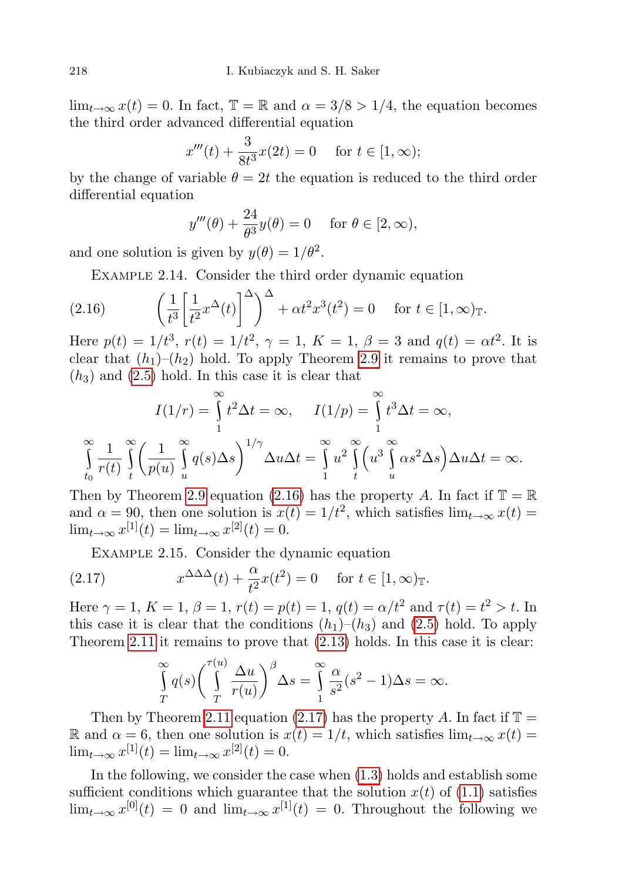$\lim_{t\to\infty} x(t) = 0$ . In fact,  $\mathbb{T} = \mathbb{R}$  and  $\alpha = 3/8 > 1/4$ , the equation becomes the third order advanced differential equation

$$
x'''(t) + \frac{3}{8t^3}x(2t) = 0 \quad \text{for } t \in [1, \infty);
$$

by the change of variable  $\theta = 2t$  the equation is reduced to the third order differential equation

$$
y'''(\theta) + \frac{24}{\theta^3}y(\theta) = 0 \quad \text{for } \theta \in [2, \infty),
$$

and one solution is given by  $y(\theta) = 1/\theta^2$ .

<span id="page-15-1"></span><span id="page-15-0"></span>EXAMPLE 2.14. Consider the third order dynamic equation

(2.16) 
$$
\left(\frac{1}{t^3} \left[\frac{1}{t^2} x^\Delta(t)\right]^\Delta\right)^\Delta + \alpha t^2 x^3(t^2) = 0 \quad \text{for } t \in [1, \infty)_\mathbb{T}.
$$

Here  $p(t) = 1/t^3$ ,  $r(t) = 1/t^2$ ,  $\gamma = 1$ ,  $K = 1$ ,  $\beta = 3$  and  $q(t) = \alpha t^2$ . It is clear that  $(h_1)$ – $(h_2)$  hold. To apply Theorem [2.9](#page-12-4) it remains to prove that  $(h<sub>3</sub>)$  and  $(2.5)$  hold. In this case it is clear that

$$
I(1/r) = \int_{1}^{\infty} t^2 \Delta t = \infty, \quad I(1/p) = \int_{1}^{\infty} t^3 \Delta t = \infty,
$$

$$
\int_{t_0}^{\infty} \frac{1}{r(t)} \int_{t}^{\infty} \left(\frac{1}{p(u)} \int_{u}^{\infty} q(s) \Delta s\right)^{1/\gamma} \Delta u \Delta t = \int_{1}^{\infty} u^2 \int_{t}^{\infty} \left(u^3 \int_{u}^{\infty} \alpha s^2 \Delta s\right) \Delta u \Delta t = \infty.
$$

Then by Theorem [2.9](#page-12-4) equation [\(2.16\)](#page-15-1) has the property A. In fact if  $\mathbb{T} = \mathbb{R}$ and  $\alpha = 90$ , then one solution is  $x(t) = 1/t^2$ , which satisfies  $\lim_{t\to\infty} x(t) =$  $\lim_{t \to \infty} x^{[1]}(t) = \lim_{t \to \infty} x^{[2]}(t) = 0.$ 

<span id="page-15-2"></span>Example 2.15. Consider the dynamic equation

(2.17) 
$$
x^{\Delta\Delta\Delta}(t) + \frac{\alpha}{t^2}x(t^2) = 0 \quad \text{for } t \in [1, \infty)_{\mathbb{T}}.
$$

Here  $\gamma = 1, K = 1, \beta = 1, r(t) = p(t) = 1, q(t) = \alpha/t^2$  and  $\tau(t) = t^2 > t$ . In this case it is clear that the conditions  $(h_1)$ – $(h_3)$  and  $(2.5)$  hold. To apply Theorem [2.11](#page-13-1) it remains to prove that [\(2.13\)](#page-13-0) holds. In this case it is clear:

$$
\int_{T}^{\infty} q(s) \left( \int_{T}^{\tau(u)} \frac{\Delta u}{r(u)} \right)^{\beta} \Delta s = \int_{1}^{\infty} \frac{\alpha}{s^2} (s^2 - 1) \Delta s = \infty.
$$

Then by Theorem [2.11](#page-13-1) equation [\(2.17\)](#page-15-2) has the property A. In fact if  $\mathbb{T} =$ R and  $\alpha = 6$ , then one solution is  $x(t) = 1/t$ , which satisfies  $\lim_{t\to\infty} x(t) =$  $\lim_{t \to \infty} x^{[1]}(t) = \lim_{t \to \infty} x^{[2]}(t) = 0.$ 

In the following, we consider the case when [\(1.3\)](#page-2-2) holds and establish some sufficient conditions which guarantee that the solution  $x(t)$  of [\(1.1\)](#page-2-0) satisfies  $\lim_{t\to\infty} x^{[0]}(t) = 0$  and  $\lim_{t\to\infty} x^{[1]}(t) = 0$ . Throughout the following we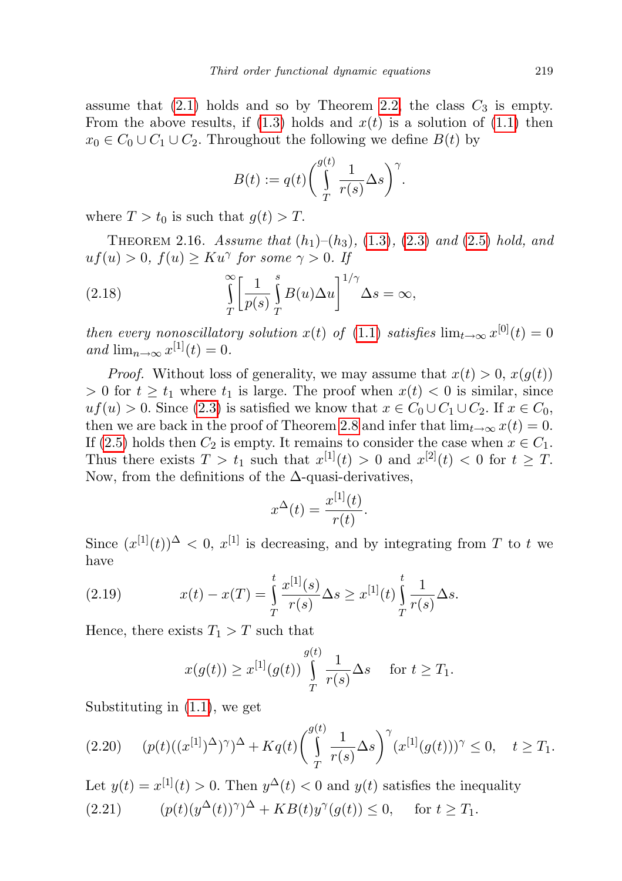assume that  $(2.1)$  holds and so by Theorem [2.2,](#page-7-2) the class  $C_3$  is empty. From the above results, if  $(1.3)$  holds and  $x(t)$  is a solution of  $(1.1)$  then  $x_0 \in C_0 \cup C_1 \cup C_2$ . Throughout the following we define  $B(t)$  by

<span id="page-16-1"></span>
$$
B(t) := q(t) \bigg( \int_{T}^{g(t)} \frac{1}{r(s)} \Delta s \bigg)^{\gamma}.
$$

where  $T > t_0$  is such that  $g(t) > T$ .

THEOREM 2.16. Assume that  $(h_1)–(h_3)$ ,  $(1.3)$ ,  $(2.3)$  and  $(2.5)$  hold, and  $uf(u) > 0, f(u) \geq Ku^{\gamma}$  for some  $\gamma > 0$ . If

(2.18) 
$$
\int_{T}^{\infty} \left[ \frac{1}{p(s)} \int_{T}^{s} B(u) \Delta u \right]^{1/\gamma} \Delta s = \infty,
$$

then every nonoscillatory solution  $x(t)$  of [\(1.1\)](#page-2-0) satisfies  $\lim_{t\to\infty} x^{[0]}(t) = 0$ and  $\lim_{n\to\infty} x^{[1]}(t) = 0.$ 

*Proof.* Without loss of generality, we may assume that  $x(t) > 0$ ,  $x(g(t))$ > 0 for  $t \ge t_1$  where  $t_1$  is large. The proof when  $x(t) < 0$  is similar, since  $uf(u) > 0$ . Since [\(2.3\)](#page-8-0) is satisfied we know that  $x \in C_0 \cup C_1 \cup C_2$ . If  $x \in C_0$ , then we are back in the proof of Theorem [2.8](#page-11-3) and infer that  $\lim_{t\to\infty} x(t) = 0$ . If [\(2.5\)](#page-9-0) holds then  $C_2$  is empty. It remains to consider the case when  $x \in C_1$ . Thus there exists  $T > t_1$  such that  $x^{[1]}(t) > 0$  and  $x^{[2]}(t) < 0$  for  $t \geq T$ . Now, from the definitions of the  $\Delta$ -quasi-derivatives,

$$
x^{\Delta}(t) = \frac{x^{[1]}(t)}{r(t)}.
$$

Since  $(x^{[1]}(t))^{\Delta} < 0$ ,  $x^{[1]}$  is decreasing, and by integrating from T to t we have

(2.19) 
$$
x(t) - x(T) = \int_{T}^{t} \frac{x^{[1]}(s)}{r(s)} \Delta s \geq x^{[1]}(t) \int_{T}^{t} \frac{1}{r(s)} \Delta s.
$$

Hence, there exists  $T_1 > T$  such that

$$
x(g(t)) \ge x^{[1]}(g(t)) \int\limits_{T}^{g(t)} \frac{1}{r(s)} \Delta s \quad \text{ for } t \ge T_1.
$$

Substituting in [\(1.1\)](#page-2-0), we get

$$
(2.20) \t(p(t)((x^{[1]})^{\Delta})^{\gamma})^{\Delta} + Kq(t) \left(\int\limits_{T}^{g(t)} \frac{1}{r(s)} \Delta s\right)^{\gamma} (x^{[1]}(g(t)))^{\gamma} \leq 0, \quad t \geq T_1.
$$

<span id="page-16-0"></span>Let  $y(t) = x^{[1]}(t) > 0$ . Then  $y^{\Delta}(t) < 0$  and  $y(t)$  satisfies the inequality  $(2.21)$  $\Delta(t)$ )<sup> $\gamma$ </sup> $\Delta$  + KB(t)y<sup> $\gamma$ </sup>(g(t))  $\leq$  0, for  $t \geq T_1$ .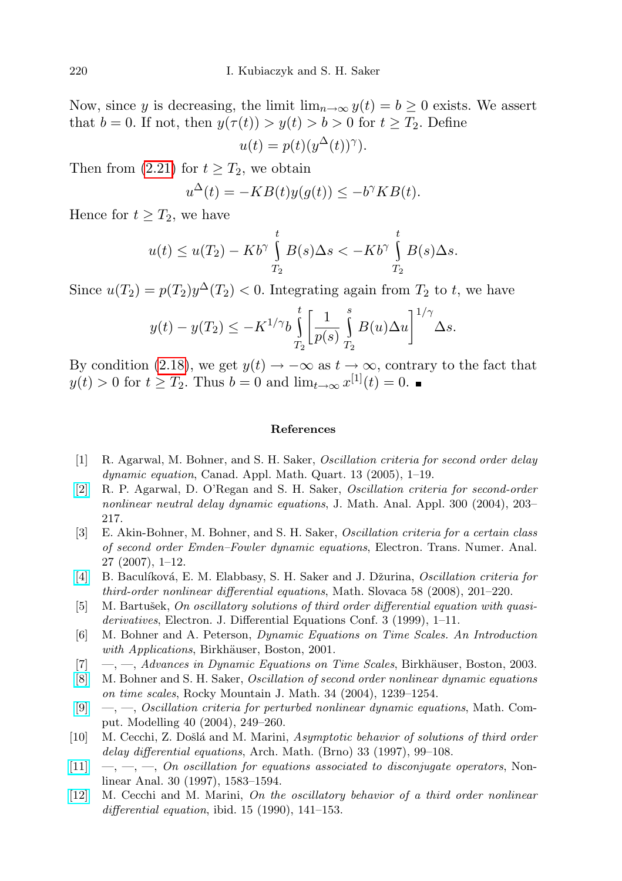Now, since y is decreasing, the limit  $\lim_{n\to\infty} y(t) = b \geq 0$  exists. We assert that  $b = 0$ . If not, then  $y(\tau(t)) > y(t) > b > 0$  for  $t \geq T_2$ . Define  $u(t) = p(t)(y^{\Delta}(t))^{\gamma}.$ 

Then from  $(2.21)$  for  $t \geq T_2$ , we obtain

$$
u^{\Delta}(t) = -KB(t)y(g(t)) \le -b^{\gamma}KB(t).
$$

Hence for  $t \geq T_2$ , we have

$$
u(t) \le u(T_2) - Kb^{\gamma} \int_{T_2}^t B(s) \Delta s < - Kb^{\gamma} \int_{T_2}^t B(s) \Delta s.
$$

Since  $u(T_2) = p(T_2)y^{\Delta}(T_2) < 0$ . Integrating again from  $T_2$  to t, we have

$$
y(t) - y(T_2) \le -K^{1/\gamma} b \int_{T_2}^t \left[ \frac{1}{p(s)} \int_{T_2}^s B(u) \Delta u \right]^{1/\gamma} \Delta s.
$$

By condition [\(2.18\)](#page-16-1), we get  $y(t) \to -\infty$  as  $t \to \infty$ , contrary to the fact that  $y(t) > 0$  for  $t \geq T_2$ . Thus  $b = 0$  and  $\lim_{t \to \infty} x^{[1]}(t) = 0$ .

## References

- <span id="page-17-2"></span>[1] R. Agarwal, M. Bohner, and S. H. Saker, Oscillation criteria for second order delay dynamic equation, Canad. Appl. Math. Quart. 13 (2005), 1–19.
- [\[2\]](http://dx.doi.org/10.1016/j.jmaa.2004.06.041) R. P. Agarwal, D. O'Regan and S. H. Saker, Oscillation criteria for second-order nonlinear neutral delay dynamic equations, J. Math. Anal. Appl. 300 (2004), 203– 217.
- <span id="page-17-3"></span>[3] E. Akin-Bohner, M. Bohner, and S. H. Saker, Oscillation criteria for a certain class of second order Emden–Fowler dynamic equations, Electron. Trans. Numer. Anal. 27 (2007), 1–12.
- <span id="page-17-6"></span>[\[4\]](http://dx.doi.org/10.2478/s12175-008-0068-1) B. Baculíková, E. M. Elabbasy, S. H. Saker and J. Džurina, *Oscillation criteria for* third-order nonlinear differential equations, Math. Slovaca 58 (2008), 201–220.
- <span id="page-17-7"></span>[5] M. Bartušek, On oscillatory solutions of third order differential equation with quasiderivatives, Electron. J. Differential Equations Conf. 3 (1999), 1–11.
- <span id="page-17-0"></span>[6] M. Bohner and A. Peterson, Dynamic Equations on Time Scales. An Introduction with Applications, Birkhäuser, Boston, 2001.
- <span id="page-17-1"></span> $[7] \quad -,-$ , Advances in Dynamic Equations on Time Scales, Birkhäuser, Boston, 2003.
- <span id="page-17-4"></span>[\[8\]](http://dx.doi.org/10.1216/rmjm/1181069797) M. Bohner and S. H. Saker, Oscillation of second order nonlinear dynamic equations on time scales, Rocky Mountain J. Math. 34 (2004), 1239–1254.
- <span id="page-17-5"></span>[\[9\]](http://dx.doi.org/10.1016/j.mcm.2004.03.002) —, —, Oscillation criteria for perturbed nonlinear dynamic equations, Math. Comput. Modelling 40 (2004), 249–260.
- <span id="page-17-8"></span>[10] M. Cecchi, Z. Došlá and M. Marini, Asymptotic behavior of solutions of third order delay differential equations, Arch. Math. (Brno) 33 (1997), 99–108.
- $[11] \quad -,-, [11] \quad -,-,-$ , On oscillation for equations associated to disconjugate operators, Nonlinear Anal. 30 (1997), 1583–1594.
- [\[12\]](http://dx.doi.org/10.1016/0362-546X(90)90118-Z) M. Cecchi and M. Marini, On the oscillatory behavior of a third order nonlinear differential equation, ibid.  $15$  (1990), 141–153.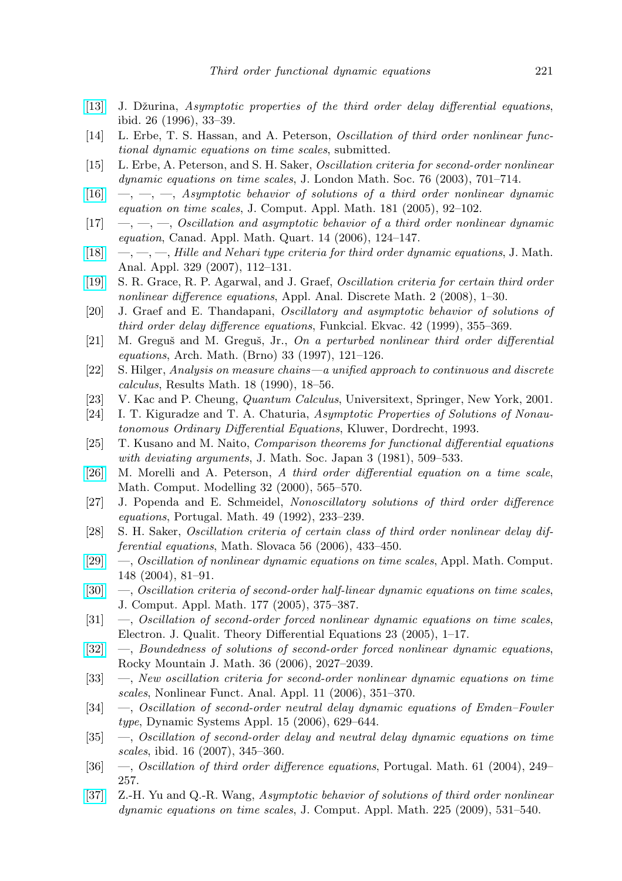- <span id="page-18-10"></span>[\[13\]](http://dx.doi.org/10.1016/0362-546X(94)00239-E) J. Džurina, Asymptotic properties of the third order delay differential equations, ibid. 26 (1996), 33–39.
- <span id="page-18-3"></span>[14] L. Erbe, T. S. Hassan, and A. Peterson, Oscillation of third order nonlinear functional dynamic equations on time scales, submitted.
- [15] L. Erbe, A. Peterson, and S. H. Saker, Oscillation criteria for second-order nonlinear dynamic equations on time scales, J. London Math. Soc. 76 (2003), 701–714.
- <span id="page-18-4"></span> $[16] \quad , \quad , \quad , \quad Asymptotic~behavior~ of~ solutions~ of~ a~ third~ order~ nonlinear~ dynamic~$  $[16] \quad , \quad , \quad , \quad Asymptotic~behavior~ of~ solutions~ of~ a~ third~ order~ nonlinear~ dynamic~$ equation on time scales, J. Comput. Appl. Math. 181 (2005), 92–102.
- <span id="page-18-9"></span> $[17] \quad -,-, \quad -, \quad Oscillation \text{ and asymptotic behavior of a third order nonlinear dynamic.}$ equation, Canad. Appl. Math. Quart. 14 (2006), 124–147.
- <span id="page-18-5"></span>[\[18\]](http://dx.doi.org/10.1016/j.jmaa.2006.06.033)  $-$ ,  $-$ ,  $-$ , Hille and Nehari type criteria for third order dynamic equations, J. Math. Anal. Appl. 329 (2007), 112–131.
- <span id="page-18-16"></span>[\[19\]](http://dx.doi.org/10.2298/AADM0801001A) S. R. Grace, R. P. Agarwal, and J. Graef, Oscillation criteria for certain third order nonlinear difference equations, Appl. Anal. Discrete Math. 2 (2008), 1–30.
- <span id="page-18-17"></span>[20] J. Graef and E. Thandapani, Oscillatory and asymptotic behavior of solutions of third order delay difference equations, Funkcial. Ekvac. 42 (1999), 355–369.
- <span id="page-18-11"></span> $[21]$  M. Greguš and M. Greguš, Jr., On a perturbed nonlinear third order differential equations, Arch. Math. (Brno) 33 (1997), 121–126.
- <span id="page-18-0"></span>[22] S. Hilger, Analysis on measure chains—a unified approach to continuous and discrete calculus, Results Math. 18 (1990), 18–56.
- <span id="page-18-18"></span>[23] V. Kac and P. Cheung, Quantum Calculus, Universitext, Springer, New York, 2001.
- <span id="page-18-8"></span>[24] I. T. Kiguradze and T. A. Chaturia, Asymptotic Properties of Solutions of Nonautonomous Ordinary Differential Equations, Kluwer, Dordrecht, 1993.
- <span id="page-18-12"></span>[25] T. Kusano and M. Naito, Comparison theorems for functional differential equations with deviating arguments, J. Math. Soc. Japan 3 (1981), 509-533.
- <span id="page-18-6"></span>[\[26\]](http://dx.doi.org/10.1016/S0895-7177(00)00153-9) M. Morelli and A. Peterson, A third order differential equation on a time scale, Math. Comput. Modelling 32 (2000), 565–570.
- <span id="page-18-14"></span>[27] J. Popenda and E. Schmeidel, Nonoscillatory solutions of third order difference equations, Portugal. Math. 49 (1992), 233–239.
- <span id="page-18-13"></span>[28] S. H. Saker, Oscillation criteria of certain class of third order nonlinear delay differential equations, Math. Slovaca 56 (2006), 433–450.
- <span id="page-18-1"></span>[\[29\]](http://dx.doi.org/10.1016/S0096-3003(02)00829-9) —, Oscillation of nonlinear dynamic equations on time scales, Appl. Math. Comput. 148 (2004), 81–91.
- [\[30\]](http://dx.doi.org/10.1016/j.cam.2004.09.028) —, Oscillation criteria of second-order half-linear dynamic equations on time scales, J. Comput. Appl. Math. 177 (2005), 375–387.
- [31] —, Oscillation of second-order forced nonlinear dynamic equations on time scales, Electron. J. Qualit. Theory Differential Equations 23 (2005), 1–17.
- [\[32\]](http://dx.doi.org/10.1216/rmjm/1181069359) —, Boundedness of solutions of second-order forced nonlinear dynamic equations, Rocky Mountain J. Math. 36 (2006), 2027–2039.
- [33] —, New oscillation criteria for second-order nonlinear dynamic equations on time scales, Nonlinear Funct. Anal. Appl. 11 (2006), 351–370.
- [34] —, Oscillation of second-order neutral delay dynamic equations of Emden–Fowler type, Dynamic Systems Appl. 15 (2006), 629–644.
- <span id="page-18-2"></span>[35] —, Oscillation of second-order delay and neutral delay dynamic equations on time scales, ibid. 16 (2007), 345–360.
- <span id="page-18-15"></span>[36] —, Oscillation of third order difference equations, Portugal. Math. 61 (2004), 249– 257.
- <span id="page-18-7"></span>[\[37\]](http://dx.doi.org/10.1016/j.cam.2008.08.017) Z.-H. Yu and Q.-R. Wang, Asymptotic behavior of solutions of third order nonlinear dynamic equations on time scales, J. Comput. Appl. Math. 225 (2009), 531–540.